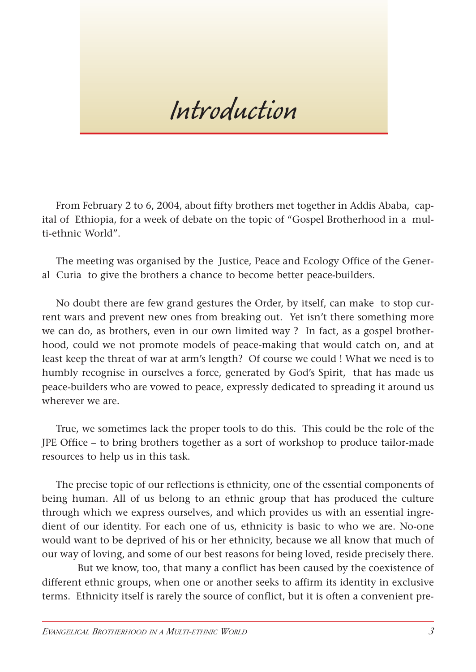*Introduction*

From February 2 to 6, 2004, about fifty brothers met together in Addis Ababa, capital of Ethiopia, for a week of debate on the topic of "Gospel Brotherhood in a multi-ethnic World".

The meeting was organised by the Justice, Peace and Ecology Office of the General Curia to give the brothers a chance to become better peace-builders.

No doubt there are few grand gestures the Order, by itself, can make to stop current wars and prevent new ones from breaking out. Yet isn't there something more we can do, as brothers, even in our own limited way ? In fact, as a gospel brotherhood, could we not promote models of peace-making that would catch on, and at least keep the threat of war at arm's length? Of course we could ! What we need is to humbly recognise in ourselves a force, generated by God's Spirit, that has made us peace-builders who are vowed to peace, expressly dedicated to spreading it around us wherever we are.

True, we sometimes lack the proper tools to do this. This could be the role of the JPE Office – to bring brothers together as a sort of workshop to produce tailor-made resources to help us in this task.

The precise topic of our reflections is ethnicity, one of the essential components of being human. All of us belong to an ethnic group that has produced the culture through which we express ourselves, and which provides us with an essential ingredient of our identity. For each one of us, ethnicity is basic to who we are. No-one would want to be deprived of his or her ethnicity, because we all know that much of our way of loving, and some of our best reasons for being loved, reside precisely there.

But we know, too, that many a conflict has been caused by the coexistence of different ethnic groups, when one or another seeks to affirm its identity in exclusive terms. Ethnicity itself is rarely the source of conflict, but it is often a convenient pre-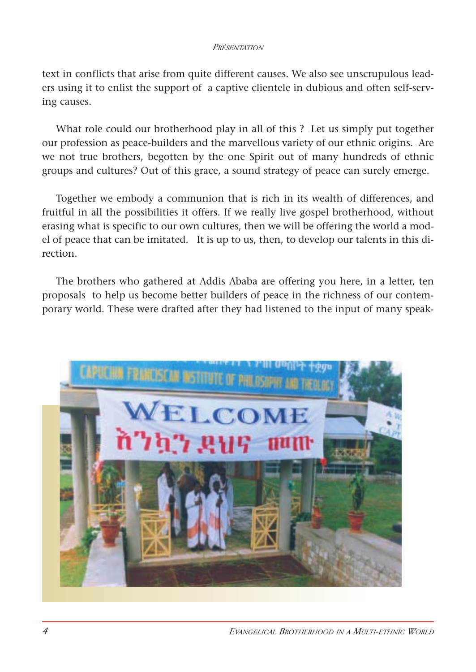#### *PRÉSENTATION*

text in conflicts that arise from quite different causes. We also see unscrupulous leaders using it to enlist the support of a captive clientele in dubious and often self-serving causes.

What role could our brotherhood play in all of this ? Let us simply put together our profession as peace-builders and the marvellous variety of our ethnic origins. Are we not true brothers, begotten by the one Spirit out of many hundreds of ethnic groups and cultures? Out of this grace, a sound strategy of peace can surely emerge.

Together we embody a communion that is rich in its wealth of differences, and fruitful in all the possibilities it offers. If we really live gospel brotherhood, without erasing what is specific to our own cultures, then we will be offering the world a model of peace that can be imitated. It is up to us, then, to develop our talents in this direction.

The brothers who gathered at Addis Ababa are offering you here, in a letter, ten proposals to help us become better builders of peace in the richness of our contemporary world. These were drafted after they had listened to the input of many speak-

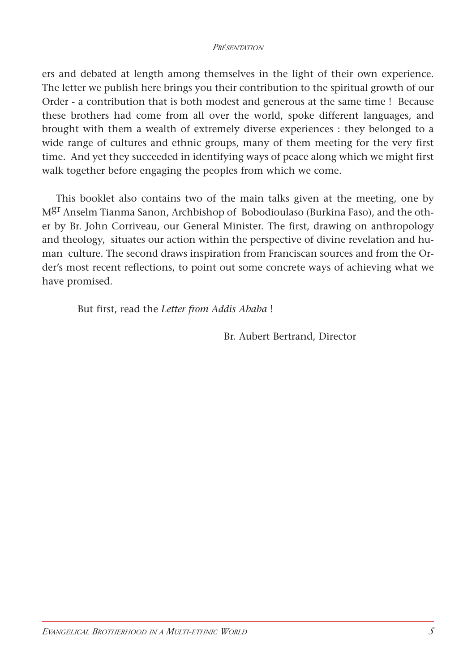#### *PRÉSENTATION*

ers and debated at length among themselves in the light of their own experience. The letter we publish here brings you their contribution to the spiritual growth of our Order - a contribution that is both modest and generous at the same time ! Because these brothers had come from all over the world, spoke different languages, and brought with them a wealth of extremely diverse experiences : they belonged to a wide range of cultures and ethnic groups, many of them meeting for the very first time. And yet they succeeded in identifying ways of peace along which we might first walk together before engaging the peoples from which we come.

This booklet also contains two of the main talks given at the meeting, one by M<sup>gr</sup> Anselm Tianma Sanon, Archbishop of Bobodioulaso (Burkina Faso), and the other by Br. John Corriveau, our General Minister. The first, drawing on anthropology and theology, situates our action within the perspective of divine revelation and human culture. The second draws inspiration from Franciscan sources and from the Order's most recent reflections, to point out some concrete ways of achieving what we have promised.

But first, read the *Letter from Addis Ababa* !

Br. Aubert Bertrand, Director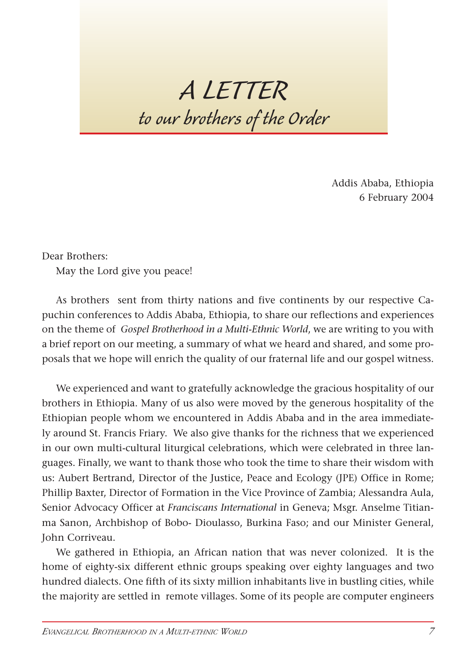

Addis Ababa, Ethiopia 6 February 2004

Dear Brothers:

May the Lord give you peace!

As brothers sent from thirty nations and five continents by our respective Capuchin conferences to Addis Ababa, Ethiopia, to share our reflections and experiences on the theme of *Gospel Brotherhood in a Multi-Ethnic World*, we are writing to you with a brief report on our meeting, a summary of what we heard and shared, and some proposals that we hope will enrich the quality of our fraternal life and our gospel witness.

We experienced and want to gratefully acknowledge the gracious hospitality of our brothers in Ethiopia. Many of us also were moved by the generous hospitality of the Ethiopian people whom we encountered in Addis Ababa and in the area immediately around St. Francis Friary. We also give thanks for the richness that we experienced in our own multi-cultural liturgical celebrations, which were celebrated in three languages. Finally, we want to thank those who took the time to share their wisdom with us: Aubert Bertrand, Director of the Justice, Peace and Ecology (JPE) Office in Rome; Phillip Baxter, Director of Formation in the Vice Province of Zambia; Alessandra Aula, Senior Advocacy Officer at *Franciscans International* in Geneva; Msgr. Anselme Titianma Sanon, Archbishop of Bobo- Dioulasso, Burkina Faso; and our Minister General, John Corriveau.

We gathered in Ethiopia, an African nation that was never colonized. It is the home of eighty-six different ethnic groups speaking over eighty languages and two hundred dialects. One fifth of its sixty million inhabitants live in bustling cities, while the majority are settled in remote villages. Some of its people are computer engineers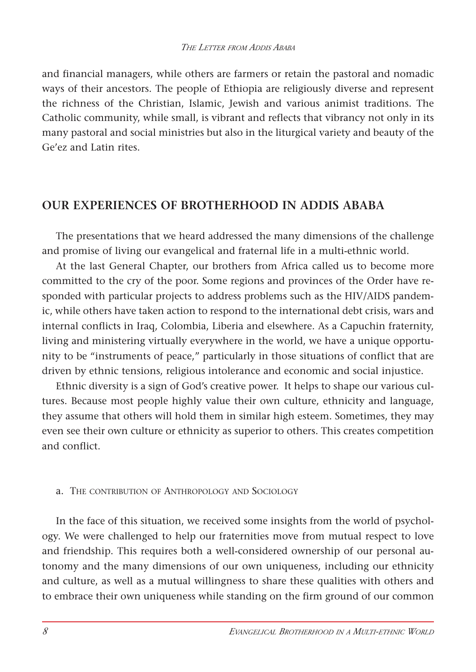and financial managers, while others are farmers or retain the pastoral and nomadic ways of their ancestors. The people of Ethiopia are religiously diverse and represent the richness of the Christian, Islamic, Jewish and various animist traditions. The Catholic community, while small, is vibrant and reflects that vibrancy not only in its many pastoral and social ministries but also in the liturgical variety and beauty of the Ge'ez and Latin rites.

### **OUR EXPERIENCES OF BROTHERHOOD IN ADDIS ABABA**

The presentations that we heard addressed the many dimensions of the challenge and promise of living our evangelical and fraternal life in a multi-ethnic world.

At the last General Chapter, our brothers from Africa called us to become more committed to the cry of the poor. Some regions and provinces of the Order have responded with particular projects to address problems such as the HIV/AIDS pandemic, while others have taken action to respond to the international debt crisis, wars and internal conflicts in Iraq, Colombia, Liberia and elsewhere. As a Capuchin fraternity, living and ministering virtually everywhere in the world, we have a unique opportunity to be "instruments of peace," particularly in those situations of conflict that are driven by ethnic tensions, religious intolerance and economic and social injustice.

Ethnic diversity is a sign of God's creative power. It helps to shape our various cultures. Because most people highly value their own culture, ethnicity and language, they assume that others will hold them in similar high esteem. Sometimes, they may even see their own culture or ethnicity as superior to others. This creates competition and conflict.

#### a. THE CONTRIBUTION OF ANTHROPOLOGY AND SOCIOLOGY

In the face of this situation, we received some insights from the world of psychology. We were challenged to help our fraternities move from mutual respect to love and friendship. This requires both a well-considered ownership of our personal autonomy and the many dimensions of our own uniqueness, including our ethnicity and culture, as well as a mutual willingness to share these qualities with others and to embrace their own uniqueness while standing on the firm ground of our common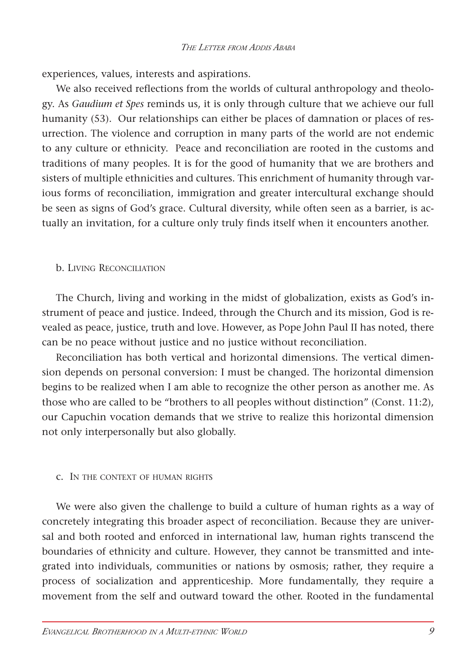experiences, values, interests and aspirations.

We also received reflections from the worlds of cultural anthropology and theology. As *Gaudium et Spes* reminds us, it is only through culture that we achieve our full humanity (53). Our relationships can either be places of damnation or places of resurrection. The violence and corruption in many parts of the world are not endemic to any culture or ethnicity. Peace and reconciliation are rooted in the customs and traditions of many peoples. It is for the good of humanity that we are brothers and sisters of multiple ethnicities and cultures. This enrichment of humanity through various forms of reconciliation, immigration and greater intercultural exchange should be seen as signs of God's grace. Cultural diversity, while often seen as a barrier, is actually an invitation, for a culture only truly finds itself when it encounters another.

#### b. LIVING RECONCILIATION

The Church, living and working in the midst of globalization, exists as God's instrument of peace and justice. Indeed, through the Church and its mission, God is revealed as peace, justice, truth and love. However, as Pope John Paul II has noted, there can be no peace without justice and no justice without reconciliation.

Reconciliation has both vertical and horizontal dimensions. The vertical dimension depends on personal conversion: I must be changed. The horizontal dimension begins to be realized when I am able to recognize the other person as another me. As those who are called to be "brothers to all peoples without distinction" (Const. 11:2), our Capuchin vocation demands that we strive to realize this horizontal dimension not only interpersonally but also globally.

#### c. IN THE CONTEXT OF HUMAN RIGHTS

We were also given the challenge to build a culture of human rights as a way of concretely integrating this broader aspect of reconciliation. Because they are universal and both rooted and enforced in international law, human rights transcend the boundaries of ethnicity and culture. However, they cannot be transmitted and integrated into individuals, communities or nations by osmosis; rather, they require a process of socialization and apprenticeship. More fundamentally, they require a movement from the self and outward toward the other. Rooted in the fundamental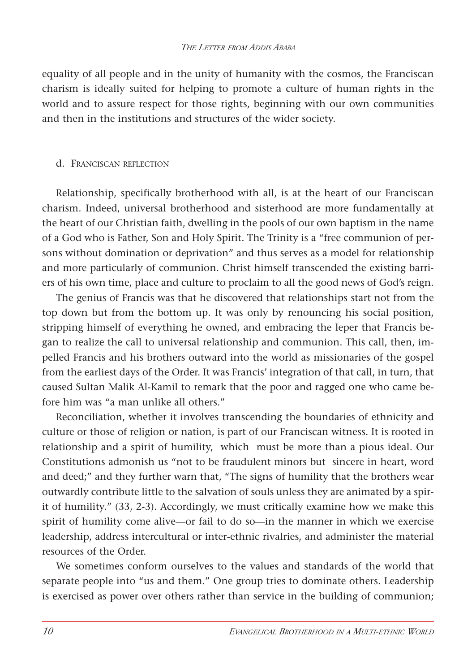equality of all people and in the unity of humanity with the cosmos, the Franciscan charism is ideally suited for helping to promote a culture of human rights in the world and to assure respect for those rights, beginning with our own communities and then in the institutions and structures of the wider society.

#### d. FRANCISCAN REFLECTION

Relationship, specifically brotherhood with all, is at the heart of our Franciscan charism. Indeed, universal brotherhood and sisterhood are more fundamentally at the heart of our Christian faith, dwelling in the pools of our own baptism in the name of a God who is Father, Son and Holy Spirit. The Trinity is a "free communion of persons without domination or deprivation" and thus serves as a model for relationship and more particularly of communion. Christ himself transcended the existing barriers of his own time, place and culture to proclaim to all the good news of God's reign.

The genius of Francis was that he discovered that relationships start not from the top down but from the bottom up. It was only by renouncing his social position, stripping himself of everything he owned, and embracing the leper that Francis began to realize the call to universal relationship and communion. This call, then, impelled Francis and his brothers outward into the world as missionaries of the gospel from the earliest days of the Order. It was Francis' integration of that call, in turn, that caused Sultan Malik Al-Kamil to remark that the poor and ragged one who came before him was "a man unlike all others."

Reconciliation, whether it involves transcending the boundaries of ethnicity and culture or those of religion or nation, is part of our Franciscan witness. It is rooted in relationship and a spirit of humility, which must be more than a pious ideal. Our Constitutions admonish us "not to be fraudulent minors but sincere in heart, word and deed;" and they further warn that, "The signs of humility that the brothers wear outwardly contribute little to the salvation of souls unless they are animated by a spirit of humility." (33, 2-3). Accordingly, we must critically examine how we make this spirit of humility come alive—or fail to do so—in the manner in which we exercise leadership, address intercultural or inter-ethnic rivalries, and administer the material resources of the Order.

We sometimes conform ourselves to the values and standards of the world that separate people into "us and them." One group tries to dominate others. Leadership is exercised as power over others rather than service in the building of communion;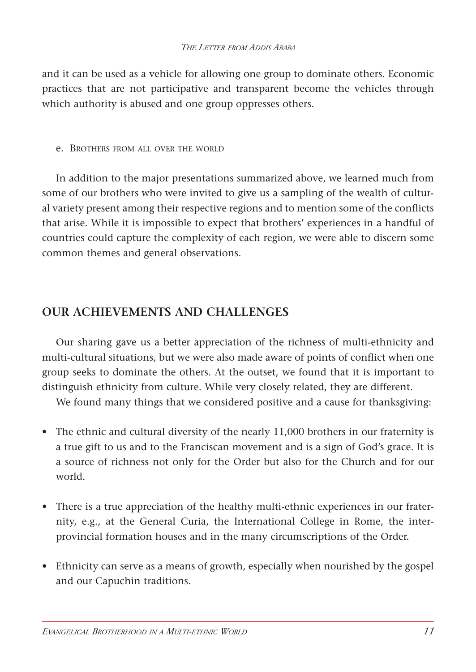and it can be used as a vehicle for allowing one group to dominate others. Economic practices that are not participative and transparent become the vehicles through which authority is abused and one group oppresses others.

e. BROTHERS FROM ALL OVER THE WORLD

In addition to the major presentations summarized above, we learned much from some of our brothers who were invited to give us a sampling of the wealth of cultural variety present among their respective regions and to mention some of the conflicts that arise. While it is impossible to expect that brothers' experiences in a handful of countries could capture the complexity of each region, we were able to discern some common themes and general observations.

## **OUR ACHIEVEMENTS AND CHALLENGES**

Our sharing gave us a better appreciation of the richness of multi-ethnicity and multi-cultural situations, but we were also made aware of points of conflict when one group seeks to dominate the others. At the outset, we found that it is important to distinguish ethnicity from culture. While very closely related, they are different.

We found many things that we considered positive and a cause for thanksgiving:

- The ethnic and cultural diversity of the nearly 11,000 brothers in our fraternity is a true gift to us and to the Franciscan movement and is a sign of God's grace. It is a source of richness not only for the Order but also for the Church and for our world.
- There is a true appreciation of the healthy multi-ethnic experiences in our fraternity, e.g., at the General Curia, the International College in Rome, the interprovincial formation houses and in the many circumscriptions of the Order.
- Ethnicity can serve as a means of growth, especially when nourished by the gospel and our Capuchin traditions.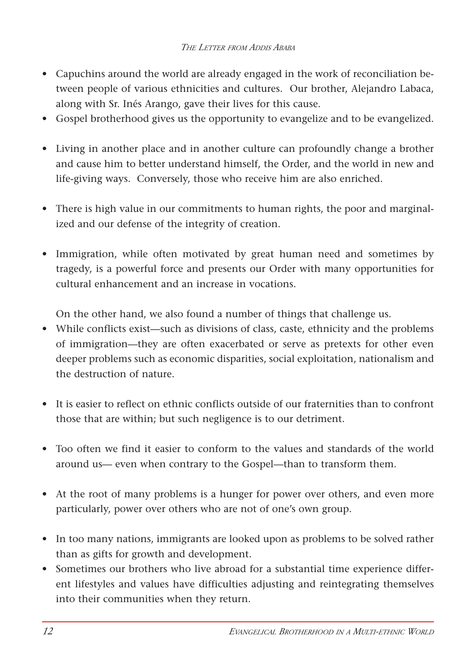- Capuchins around the world are already engaged in the work of reconciliation between people of various ethnicities and cultures. Our brother, Alejandro Labaca, along with Sr. Inés Arango, gave their lives for this cause.
- Gospel brotherhood gives us the opportunity to evangelize and to be evangelized.
- Living in another place and in another culture can profoundly change a brother and cause him to better understand himself, the Order, and the world in new and life-giving ways. Conversely, those who receive him are also enriched.
- There is high value in our commitments to human rights, the poor and marginalized and our defense of the integrity of creation.
- Immigration, while often motivated by great human need and sometimes by tragedy, is a powerful force and presents our Order with many opportunities for cultural enhancement and an increase in vocations.

On the other hand, we also found a number of things that challenge us.

- While conflicts exist—such as divisions of class, caste, ethnicity and the problems of immigration—they are often exacerbated or serve as pretexts for other even deeper problems such as economic disparities, social exploitation, nationalism and the destruction of nature.
- It is easier to reflect on ethnic conflicts outside of our fraternities than to confront those that are within; but such negligence is to our detriment.
- Too often we find it easier to conform to the values and standards of the world around us— even when contrary to the Gospel—than to transform them.
- At the root of many problems is a hunger for power over others, and even more particularly, power over others who are not of one's own group.
- In too many nations, immigrants are looked upon as problems to be solved rather than as gifts for growth and development.
- Sometimes our brothers who live abroad for a substantial time experience different lifestyles and values have difficulties adjusting and reintegrating themselves into their communities when they return.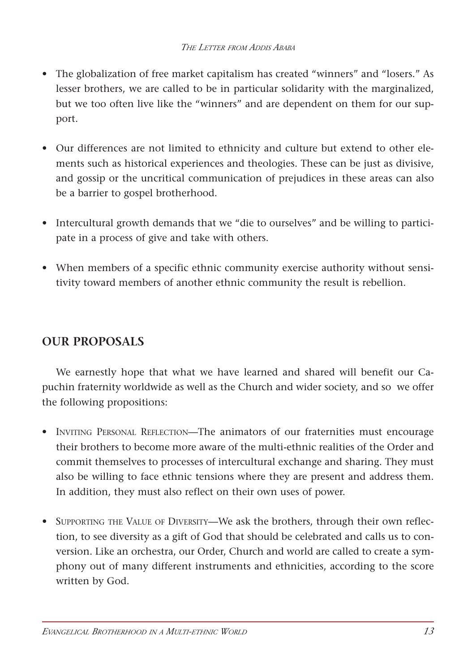- The globalization of free market capitalism has created "winners" and "losers." As lesser brothers, we are called to be in particular solidarity with the marginalized, but we too often live like the "winners" and are dependent on them for our support.
- Our differences are not limited to ethnicity and culture but extend to other elements such as historical experiences and theologies. These can be just as divisive, and gossip or the uncritical communication of prejudices in these areas can also be a barrier to gospel brotherhood.
- Intercultural growth demands that we "die to ourselves" and be willing to participate in a process of give and take with others.
- When members of a specific ethnic community exercise authority without sensitivity toward members of another ethnic community the result is rebellion.

## **OUR PROPOSALS**

We earnestly hope that what we have learned and shared will benefit our Capuchin fraternity worldwide as well as the Church and wider society, and so we offer the following propositions:

- INVITING PERSONAL REFLECTION—The animators of our fraternities must encourage their brothers to become more aware of the multi-ethnic realities of the Order and commit themselves to processes of intercultural exchange and sharing. They must also be willing to face ethnic tensions where they are present and address them. In addition, they must also reflect on their own uses of power.
- SUPPORTING THE VALUE OF DIVERSITY—We ask the brothers, through their own reflection, to see diversity as a gift of God that should be celebrated and calls us to conversion. Like an orchestra, our Order, Church and world are called to create a symphony out of many different instruments and ethnicities, according to the score written by God.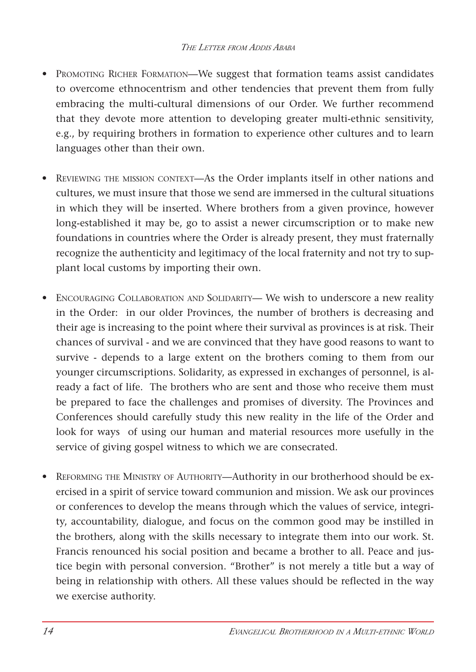- PROMOTING RICHER FORMATION—We suggest that formation teams assist candidates to overcome ethnocentrism and other tendencies that prevent them from fully embracing the multi-cultural dimensions of our Order. We further recommend that they devote more attention to developing greater multi-ethnic sensitivity, e.g., by requiring brothers in formation to experience other cultures and to learn languages other than their own.
- REVIEWING THE MISSION CONTEXT—As the Order implants itself in other nations and cultures, we must insure that those we send are immersed in the cultural situations in which they will be inserted. Where brothers from a given province, however long-established it may be, go to assist a newer circumscription or to make new foundations in countries where the Order is already present, they must fraternally recognize the authenticity and legitimacy of the local fraternity and not try to supplant local customs by importing their own.
- ENCOURAGING COLLABORATION AND SOLIDARITY— We wish to underscore a new reality in the Order: in our older Provinces, the number of brothers is decreasing and their age is increasing to the point where their survival as provinces is at risk. Their chances of survival - and we are convinced that they have good reasons to want to survive - depends to a large extent on the brothers coming to them from our younger circumscriptions. Solidarity, as expressed in exchanges of personnel, is already a fact of life. The brothers who are sent and those who receive them must be prepared to face the challenges and promises of diversity. The Provinces and Conferences should carefully study this new reality in the life of the Order and look for ways of using our human and material resources more usefully in the service of giving gospel witness to which we are consecrated.
- REFORMING THE MINISTRY OF AUTHORITY—Authority in our brotherhood should be exercised in a spirit of service toward communion and mission. We ask our provinces or conferences to develop the means through which the values of service, integrity, accountability, dialogue, and focus on the common good may be instilled in the brothers, along with the skills necessary to integrate them into our work. St. Francis renounced his social position and became a brother to all. Peace and justice begin with personal conversion. "Brother" is not merely a title but a way of being in relationship with others. All these values should be reflected in the way we exercise authority.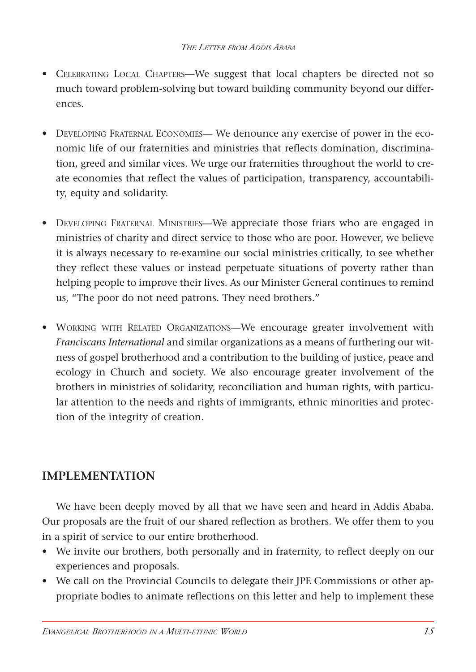- CELEBRATING LOCAL CHAPTERS—We suggest that local chapters be directed not so much toward problem-solving but toward building community beyond our differences.
- DEVELOPING FRATERNAL ECONOMIES— We denounce any exercise of power in the economic life of our fraternities and ministries that reflects domination, discrimination, greed and similar vices. We urge our fraternities throughout the world to create economies that reflect the values of participation, transparency, accountability, equity and solidarity.
- DEVELOPING FRATERNAL MINISTRIES—We appreciate those friars who are engaged in ministries of charity and direct service to those who are poor. However, we believe it is always necessary to re-examine our social ministries critically, to see whether they reflect these values or instead perpetuate situations of poverty rather than helping people to improve their lives. As our Minister General continues to remind us, "The poor do not need patrons. They need brothers."
- WORKING WITH RELATED ORGANIZATIONS—We encourage greater involvement with *Franciscans International* and similar organizations as a means of furthering our witness of gospel brotherhood and a contribution to the building of justice, peace and ecology in Church and society. We also encourage greater involvement of the brothers in ministries of solidarity, reconciliation and human rights, with particular attention to the needs and rights of immigrants, ethnic minorities and protection of the integrity of creation.

## **IMPLEMENTATION**

We have been deeply moved by all that we have seen and heard in Addis Ababa. Our proposals are the fruit of our shared reflection as brothers. We offer them to you in a spirit of service to our entire brotherhood.

- We invite our brothers, both personally and in fraternity, to reflect deeply on our experiences and proposals.
- We call on the Provincial Councils to delegate their JPE Commissions or other appropriate bodies to animate reflections on this letter and help to implement these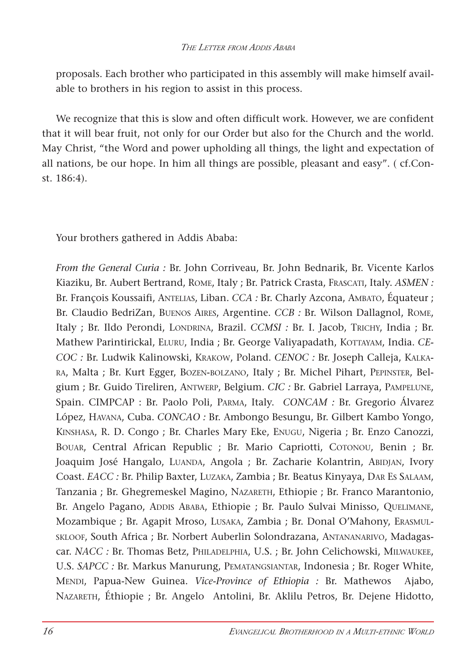proposals. Each brother who participated in this assembly will make himself available to brothers in his region to assist in this process.

We recognize that this is slow and often difficult work. However, we are confident that it will bear fruit, not only for our Order but also for the Church and the world. May Christ, "the Word and power upholding all things, the light and expectation of all nations, be our hope. In him all things are possible, pleasant and easy". ( cf.Const. 186:4).

Your brothers gathered in Addis Ababa:

*From the General Curia :* Br. John Corriveau, Br. John Bednarik, Br. Vicente Karlos Kiaziku, Br. Aubert Bertrand, ROME, Italy ; Br. Patrick Crasta, FRASCATI, Italy. *ASMEN :* Br. François Koussaifi, ANTELIAS, Liban. *CCA :* Br. Charly Azcona, AMBATO, Équateur ; Br. Claudio BedriZan, BUENOS AIRES, Argentine. *CCB :* Br. Wilson Dallagnol, ROME, Italy ; Br. Ildo Perondi, LONDRINA, Brazil. *CCMSI :* Br. I. Jacob, TRICHY, India ; Br. Mathew Parintirickal, ELURU, India ; Br. George Valiyapadath, KOTTAYAM, India. *CE-COC :* Br. Ludwik Kalinowski, KRAKOW, Poland. *CENOC :* Br. Joseph Calleja, KALKA-RA, Malta ; Br. Kurt Egger, BOZEN-BOLZANO, Italy ; Br. Michel Pihart, PEPINSTER, Belgium ; Br. Guido Tireliren, ANTWERP, Belgium. *CIC :* Br. Gabriel Larraya, PAMPELUNE, Spain. CIMPCAP : Br. Paolo Poli, PARMA, Italy. *CONCAM :* Br. Gregorio Álvarez López, HAVANA, Cuba. *CONCAO :* Br. Ambongo Besungu, Br. Gilbert Kambo Yongo, KINSHASA, R. D. Congo ; Br. Charles Mary Eke, ENUGU, Nigeria ; Br. Enzo Canozzi, BOUAR, Central African Republic ; Br. Mario Capriotti, COTONOU, Benin ; Br. Joaquim José Hangalo, LUANDA, Angola ; Br. Zacharie Kolantrin, ABIDJAN, Ivory Coast. *EACC :* Br. Philip Baxter, LUZAKA, Zambia ; Br. Beatus Kinyaya, DAR ES SALAAM, Tanzania ; Br. Ghegremeskel Magino, NAZARETH, Ethiopie ; Br. Franco Marantonio, Br. Angelo Pagano, ADDIS ABABA, Ethiopie ; Br. Paulo Sulvai Minisso, QUELIMANE, Mozambique ; Br. Agapit Mroso, LUSAKA, Zambia ; Br. Donal O'Mahony, ERASMUL-SKLOOF, South Africa ; Br. Norbert Auberlin Solondrazana, ANTANANARIVO, Madagascar. *NACC :* Br. Thomas Betz, PHILADELPHIA, U.S. ; Br. John Celichowski, MILWAUKEE, U.S. *SAPCC :* Br. Markus Manurung, PEMATANGSIANTAR, Indonesia ; Br. Roger White, MENDI, Papua-New Guinea. *Vice-Province of Ethiopia :* Br. Mathewos Ajabo, NAZARETH, Éthiopie ; Br. Angelo Antolini, Br. Aklilu Petros, Br. Dejene Hidotto,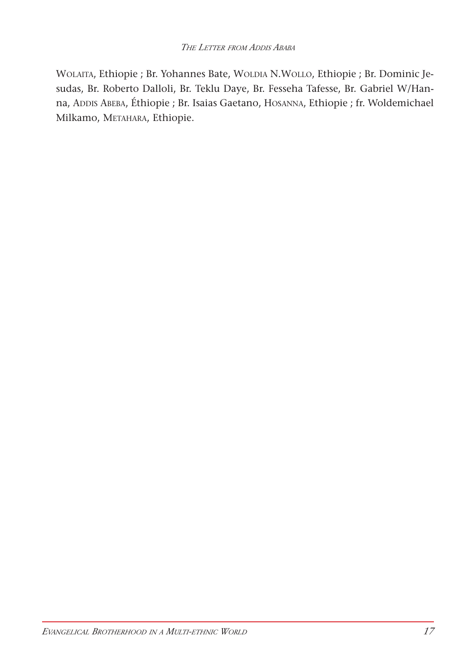WOLAITA, Ethiopie ; Br. Yohannes Bate, WOLDIA N.WOLLO, Ethiopie ; Br. Dominic Jesudas, Br. Roberto Dalloli, Br. Teklu Daye, Br. Fesseha Tafesse, Br. Gabriel W/Hanna, ADDIS ABEBA, Éthiopie ; Br. Isaias Gaetano, HOSANNA, Ethiopie ; fr. Woldemichael Milkamo, METAHARA, Ethiopie.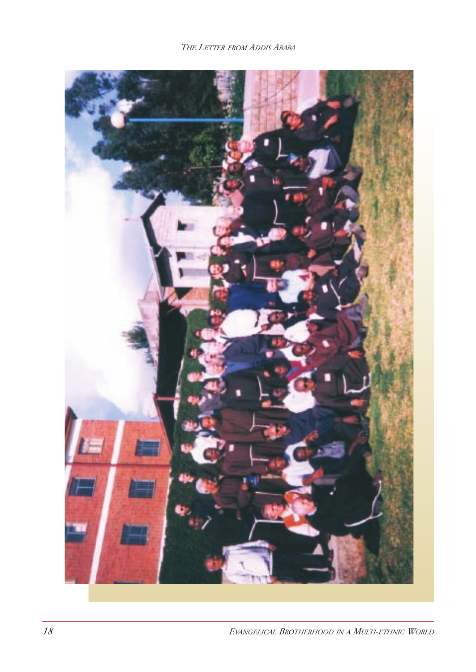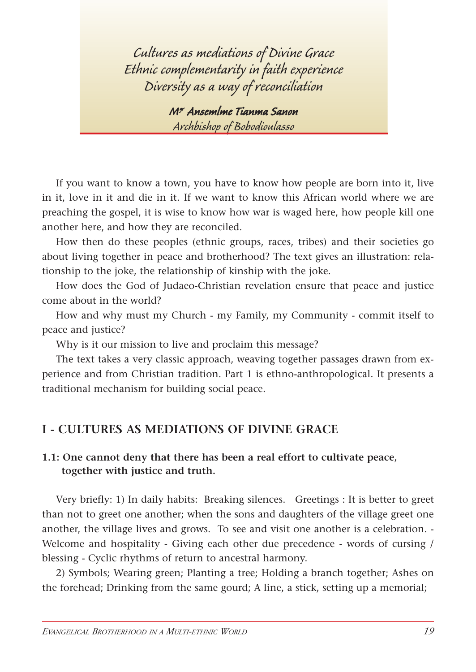*Cultures as mediations of Divine Grace Ethnic complementarity in faith experience Diversity as a way of reconciliation*

> *Mgr AnsemlmeTianmaSanon Archbishop of Bobodioulasso*

If you want to know a town, you have to know how people are born into it, live in it, love in it and die in it. If we want to know this African world where we are preaching the gospel, it is wise to know how war is waged here, how people kill one another here, and how they are reconciled.

How then do these peoples (ethnic groups, races, tribes) and their societies go about living together in peace and brotherhood? The text gives an illustration: relationship to the joke, the relationship of kinship with the joke.

How does the God of Judaeo-Christian revelation ensure that peace and justice come about in the world?

How and why must my Church - my Family, my Community - commit itself to peace and justice?

Why is it our mission to live and proclaim this message?

The text takes a very classic approach, weaving together passages drawn from experience and from Christian tradition. Part 1 is ethno-anthropological. It presents a traditional mechanism for building social peace.

# **I - CULTURES AS MEDIATIONS OF DIVINE GRACE**

### **1.1: One cannot deny that there has been a real effort to cultivate peace, together with justice and truth.**

Very briefly: 1) In daily habits: Breaking silences. Greetings : It is better to greet than not to greet one another; when the sons and daughters of the village greet one another, the village lives and grows. To see and visit one another is a celebration. - Welcome and hospitality - Giving each other due precedence - words of cursing / blessing - Cyclic rhythms of return to ancestral harmony.

2) Symbols; Wearing green; Planting a tree; Holding a branch together; Ashes on the forehead; Drinking from the same gourd; A line, a stick, setting up a memorial;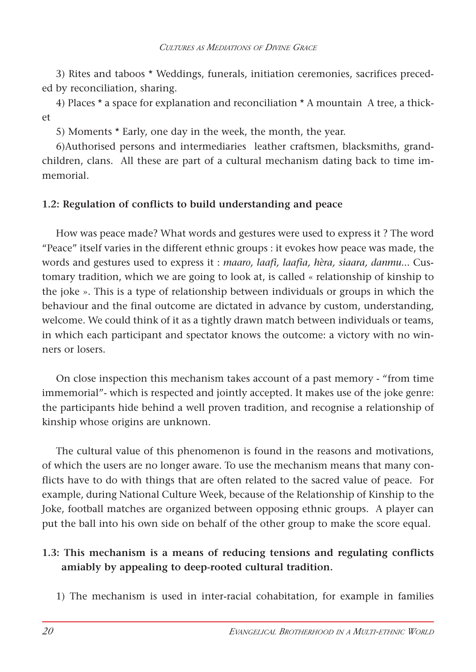3) Rites and taboos \* Weddings, funerals, initiation ceremonies, sacrifices preceded by reconciliation, sharing.

4) Places \* a space for explanation and reconciliation \* A mountain A tree, a thicket

5) Moments \* Early, one day in the week, the month, the year.

6)Authorised persons and intermediaries leather craftsmen, blacksmiths, grandchildren, clans. All these are part of a cultural mechanism dating back to time immemorial.

### **1.2: Regulation of conflicts to build understanding and peace**

How was peace made? What words and gestures were used to express it ? The word "Peace" itself varies in the different ethnic groups : it evokes how peace was made, the words and gestures used to express it : *maaro, laafi, laafia, hèra, siaara, danmu*... Customary tradition, which we are going to look at, is called « relationship of kinship to the joke ». This is a type of relationship between individuals or groups in which the behaviour and the final outcome are dictated in advance by custom, understanding, welcome. We could think of it as a tightly drawn match between individuals or teams, in which each participant and spectator knows the outcome: a victory with no winners or losers.

On close inspection this mechanism takes account of a past memory - "from time immemorial"- which is respected and jointly accepted. It makes use of the joke genre: the participants hide behind a well proven tradition, and recognise a relationship of kinship whose origins are unknown.

The cultural value of this phenomenon is found in the reasons and motivations, of which the users are no longer aware. To use the mechanism means that many conflicts have to do with things that are often related to the sacred value of peace. For example, during National Culture Week, because of the Relationship of Kinship to the Joke, football matches are organized between opposing ethnic groups. A player can put the ball into his own side on behalf of the other group to make the score equal.

## **1.3: This mechanism is a means of reducing tensions and regulating conflicts amiably by appealing to deep-rooted cultural tradition.**

1) The mechanism is used in inter-racial cohabitation, for example in families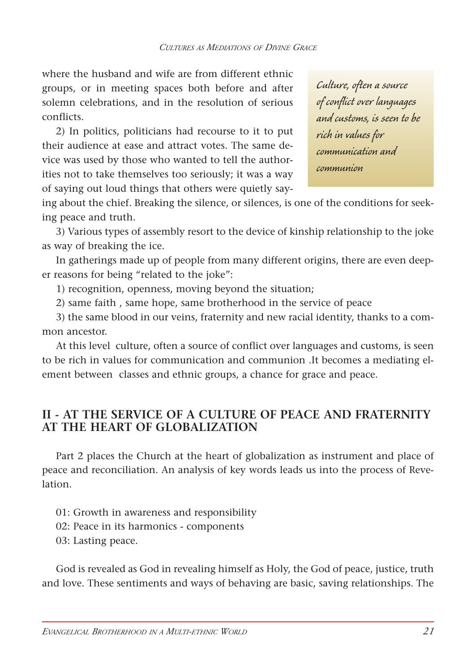where the husband and wife are from different ethnic groups, or in meeting spaces both before and after solemn celebrations, and in the resolution of serious conflicts.

2) In politics, politicians had recourse to it to put their audience at ease and attract votes. The same device was used by those who wanted to tell the authorities not to take themselves too seriously; it was a way of saying out loud things that others were quietly say*Culture, often a source of conflict over languages and customs, is seen to be rich in values for communication and communion*

ing about the chief. Breaking the silence, or silences, is one of the conditions for seeking peace and truth.

3) Various types of assembly resort to the device of kinship relationship to the joke as way of breaking the ice.

In gatherings made up of people from many different origins, there are even deeper reasons for being "related to the joke":

1) recognition, openness, moving beyond the situation;

2) same faith , same hope, same brotherhood in the service of peace

3) the same blood in our veins, fraternity and new racial identity, thanks to a common ancestor.

At this level culture, often a source of conflict over languages and customs, is seen to be rich in values for communication and communion .It becomes a mediating element between classes and ethnic groups, a chance for grace and peace.

## **II - AT THE SERVICE OF A CULTURE OF PEACE AND FRATERNITY AT THE HEART OF GLOBALIZATION**

Part 2 places the Church at the heart of globalization as instrument and place of peace and reconciliation. An analysis of key words leads us into the process of Revelation.

01: Growth in awareness and responsibility 02: Peace in its harmonics - components 03: Lasting peace.

God is revealed as God in revealing himself as Holy, the God of peace, justice, truth and love. These sentiments and ways of behaving are basic, saving relationships. The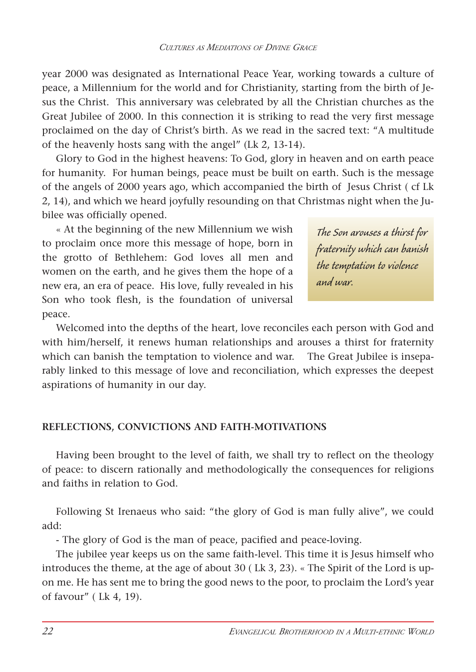year 2000 was designated as International Peace Year, working towards a culture of peace, a Millennium for the world and for Christianity, starting from the birth of Jesus the Christ. This anniversary was celebrated by all the Christian churches as the Great Jubilee of 2000. In this connection it is striking to read the very first message proclaimed on the day of Christ's birth. As we read in the sacred text: "A multitude of the heavenly hosts sang with the angel" (Lk 2, 13-14).

Glory to God in the highest heavens: To God, glory in heaven and on earth peace for humanity. For human beings, peace must be built on earth. Such is the message of the angels of 2000 years ago, which accompanied the birth of Jesus Christ ( cf Lk 2, 14), and which we heard joyfully resounding on that Christmas night when the Jubilee was officially opened.

« At the beginning of the new Millennium we wish to proclaim once more this message of hope, born in the grotto of Bethlehem: God loves all men and women on the earth, and he gives them the hope of a new era, an era of peace. His love, fully revealed in his Son who took flesh, is the foundation of universal peace.

*The Son arouses a thirst for fraternity which can banish the temptation to violence and war.*

Welcomed into the depths of the heart, love reconciles each person with God and with him/herself, it renews human relationships and arouses a thirst for fraternity which can banish the temptation to violence and war. The Great Jubilee is inseparably linked to this message of love and reconciliation, which expresses the deepest aspirations of humanity in our day.

#### **REFLECTIONS, CONVICTIONS AND FAITH-MOTIVATIONS**

Having been brought to the level of faith, we shall try to reflect on the theology of peace: to discern rationally and methodologically the consequences for religions and faiths in relation to God.

Following St Irenaeus who said: "the glory of God is man fully alive", we could add:

- The glory of God is the man of peace, pacified and peace-loving.

The jubilee year keeps us on the same faith-level. This time it is Jesus himself who introduces the theme, at the age of about 30 ( Lk 3, 23). « The Spirit of the Lord is upon me. He has sent me to bring the good news to the poor, to proclaim the Lord's year of favour" ( Lk 4, 19).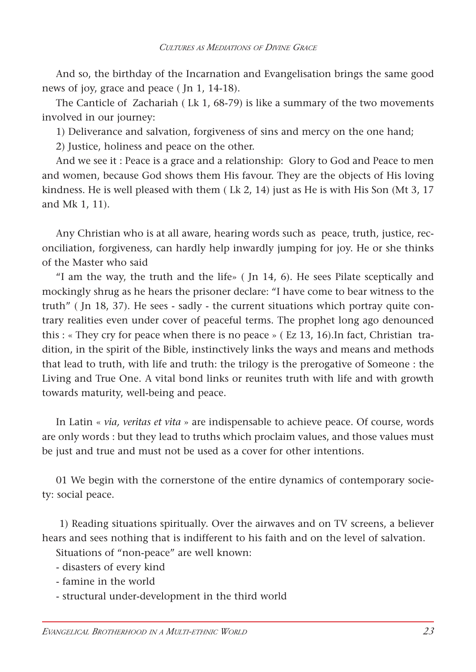And so, the birthday of the Incarnation and Evangelisation brings the same good news of joy, grace and peace ( Jn 1, 14-18).

The Canticle of Zachariah ( Lk 1, 68-79) is like a summary of the two movements involved in our journey:

1) Deliverance and salvation, forgiveness of sins and mercy on the one hand;

2) Justice, holiness and peace on the other.

And we see it : Peace is a grace and a relationship: Glory to God and Peace to men and women, because God shows them His favour. They are the objects of His loving kindness. He is well pleased with them ( Lk 2, 14) just as He is with His Son (Mt 3, 17 and Mk 1, 11).

Any Christian who is at all aware, hearing words such as peace, truth, justice, reconciliation, forgiveness, can hardly help inwardly jumping for joy. He or she thinks of the Master who said

"I am the way, the truth and the life» (Jn  $14, 6$ ). He sees Pilate sceptically and mockingly shrug as he hears the prisoner declare: "I have come to bear witness to the truth" ( Jn 18, 37). He sees - sadly - the current situations which portray quite contrary realities even under cover of peaceful terms. The prophet long ago denounced this : « They cry for peace when there is no peace » ( $Ez$  13, 16). In fact, Christian tradition, in the spirit of the Bible, instinctively links the ways and means and methods that lead to truth, with life and truth: the trilogy is the prerogative of Someone : the Living and True One. A vital bond links or reunites truth with life and with growth towards maturity, well-being and peace.

In Latin « *via, veritas et vita* » are indispensable to achieve peace. Of course, words are only words : but they lead to truths which proclaim values, and those values must be just and true and must not be used as a cover for other intentions.

01 We begin with the cornerstone of the entire dynamics of contemporary society: social peace.

1) Reading situations spiritually. Over the airwaves and on TV screens, a believer hears and sees nothing that is indifferent to his faith and on the level of salvation.

Situations of "non-peace" are well known:

- disasters of every kind

- famine in the world
- structural under-development in the third world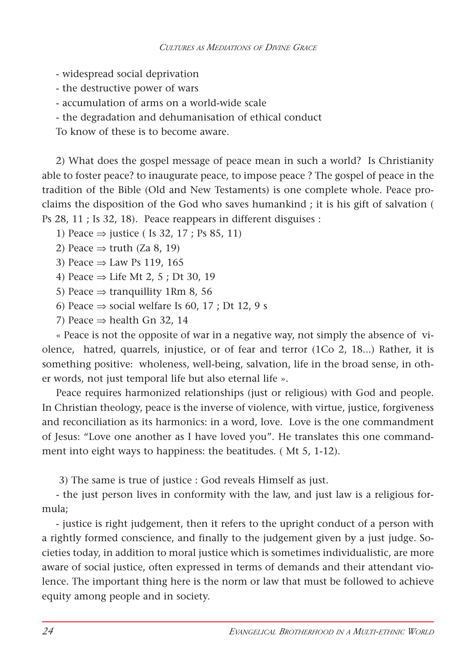- widespread social deprivation
- the destructive power of wars
- accumulation of arms on a world-wide scale
- the degradation and dehumanisation of ethical conduct

To know of these is to become aware.

2) What does the gospel message of peace mean in such a world? Is Christianity able to foster peace? to inaugurate peace, to impose peace ? The gospel of peace in the tradition of the Bible (Old and New Testaments) is one complete whole. Peace proclaims the disposition of the God who saves humankind ; it is his gift of salvation ( Ps 28, 11 ; Is 32, 18). Peace reappears in different disguises :

- 1) Peace  $\Rightarrow$  justice (Is 32, 17 ; Ps 85, 11)
- 2) Peace  $\Rightarrow$  truth (Za 8, 19)
- 3) Peace  $\Rightarrow$  Law Ps 119, 165
- 4) Peace ⇒ Life Mt 2, 5 ; Dt 30, 19
- 5) Peace  $\Rightarrow$  tranquillity 1Rm 8, 56
- 6) Peace  $\Rightarrow$  social welfare Is 60, 17 ; Dt 12, 9 s
- 7) Peace  $\Rightarrow$  health Gn 32, 14

« Peace is not the opposite of war in a negative way, not simply the absence of violence, hatred, quarrels, injustice, or of fear and terror (1Co 2, 18...) Rather, it is something positive: wholeness, well-being, salvation, life in the broad sense, in other words, not just temporal life but also eternal life ».

Peace requires harmonized relationships (just or religious) with God and people. In Christian theology, peace is the inverse of violence, with virtue, justice, forgiveness and reconciliation as its harmonics: in a word, love. Love is the one commandment of Jesus: "Love one another as I have loved you". He translates this one commandment into eight ways to happiness: the beatitudes. ( Mt 5, 1-12).

3) The same is true of justice : God reveals Himself as just.

- the just person lives in conformity with the law, and just law is a religious formula;

- justice is right judgement, then it refers to the upright conduct of a person with a rightly formed conscience, and finally to the judgement given by a just judge. Societies today, in addition to moral justice which is sometimes individualistic, are more aware of social justice, often expressed in terms of demands and their attendant violence. The important thing here is the norm or law that must be followed to achieve equity among people and in society.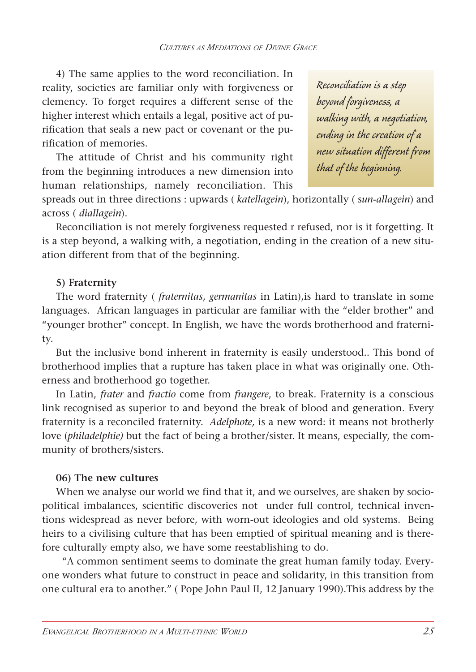4) The same applies to the word reconciliation. In reality, societies are familiar only with forgiveness or clemency. To forget requires a different sense of the higher interest which entails a legal, positive act of purification that seals a new pact or covenant or the purification of memories.

The attitude of Christ and his community right from the beginning introduces a new dimension into human relationships, namely reconciliation. This *Reconciliation is a step beyond forgiveness, a walking with, a negotiation, ending in the creation of a new situation different from that of the beginning.*

spreads out in three directions : upwards ( *katellagein*), horizontally ( s*un-allagein*) and across ( *diallagein*).

Reconciliation is not merely forgiveness requested r refused, nor is it forgetting. It is a step beyond, a walking with, a negotiation, ending in the creation of a new situation different from that of the beginning.

### **5) Fraternity**

The word fraternity ( *fraternitas*, *germanitas* in Latin),is hard to translate in some languages. African languages in particular are familiar with the "elder brother" and "younger brother" concept. In English, we have the words brotherhood and fraternity.

But the inclusive bond inherent in fraternity is easily understood.. This bond of brotherhood implies that a rupture has taken place in what was originally one. Otherness and brotherhood go together.

In Latin, *frater* and *fractio* come from *frangere*, to break. Fraternity is a conscious link recognised as superior to and beyond the break of blood and generation. Every fraternity is a reconciled fraternity. *Adelphote,* is a new word: it means not brotherly love (*philadelphie)* but the fact of being a brother/sister. It means, especially, the community of brothers/sisters.

### **06) The new cultures**

When we analyse our world we find that it, and we ourselves, are shaken by sociopolitical imbalances, scientific discoveries not under full control, technical inventions widespread as never before, with worn-out ideologies and old systems. Being heirs to a civilising culture that has been emptied of spiritual meaning and is therefore culturally empty also, we have some reestablishing to do.

"A common sentiment seems to dominate the great human family today. Everyone wonders what future to construct in peace and solidarity, in this transition from one cultural era to another." ( Pope John Paul II, 12 January 1990).This address by the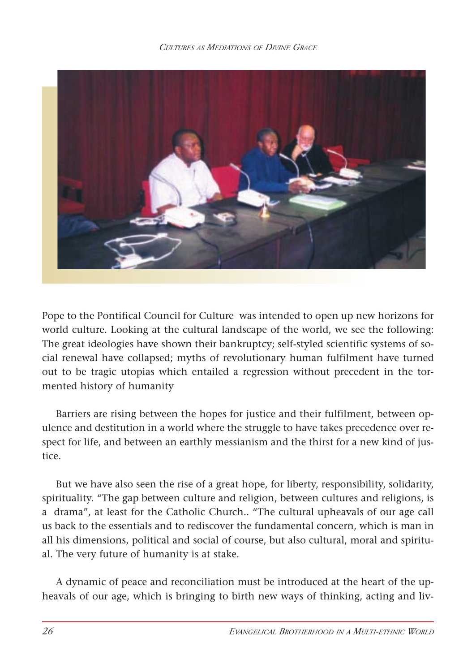

Pope to the Pontifical Council for Culture was intended to open up new horizons for world culture. Looking at the cultural landscape of the world, we see the following: The great ideologies have shown their bankruptcy; self-styled scientific systems of social renewal have collapsed; myths of revolutionary human fulfilment have turned out to be tragic utopias which entailed a regression without precedent in the tormented history of humanity

Barriers are rising between the hopes for justice and their fulfilment, between opulence and destitution in a world where the struggle to have takes precedence over respect for life, and between an earthly messianism and the thirst for a new kind of justice.

But we have also seen the rise of a great hope, for liberty, responsibility, solidarity, spirituality. "The gap between culture and religion, between cultures and religions, is a drama", at least for the Catholic Church.. "The cultural upheavals of our age call us back to the essentials and to rediscover the fundamental concern, which is man in all his dimensions, political and social of course, but also cultural, moral and spiritual. The very future of humanity is at stake.

A dynamic of peace and reconciliation must be introduced at the heart of the upheavals of our age, which is bringing to birth new ways of thinking, acting and liv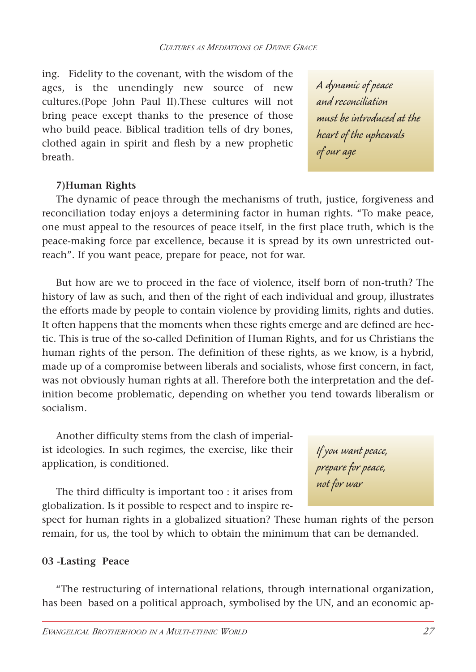*CULTURES AS MEDIATIONS OF DIVINE GRACE*

ing. Fidelity to the covenant, with the wisdom of the ages, is the unendingly new source of new cultures.(Pope John Paul II).These cultures will not bring peace except thanks to the presence of those who build peace. Biblical tradition tells of dry bones, clothed again in spirit and flesh by a new prophetic breath.

*A dynamic of peace and reconciliation must be introduced at the heart of the upheavals of our age*

#### **7)Human Rights**

The dynamic of peace through the mechanisms of truth, justice, forgiveness and reconciliation today enjoys a determining factor in human rights. "To make peace, one must appeal to the resources of peace itself, in the first place truth, which is the peace-making force par excellence, because it is spread by its own unrestricted outreach". If you want peace, prepare for peace, not for war.

But how are we to proceed in the face of violence, itself born of non-truth? The history of law as such, and then of the right of each individual and group, illustrates the efforts made by people to contain violence by providing limits, rights and duties. It often happens that the moments when these rights emerge and are defined are hectic. This is true of the so-called Definition of Human Rights, and for us Christians the human rights of the person. The definition of these rights, as we know, is a hybrid, made up of a compromise between liberals and socialists, whose first concern, in fact, was not obviously human rights at all. Therefore both the interpretation and the definition become problematic, depending on whether you tend towards liberalism or socialism.

Another difficulty stems from the clash of imperialist ideologies. In such regimes, the exercise, like their application, is conditioned.

The third difficulty is important too : it arises from globalization. Is it possible to respect and to inspire re-

| If you want peace, |  |
|--------------------|--|
| prepare for peace, |  |
| not for war        |  |

spect for human rights in a globalized situation? These human rights of the person remain, for us, the tool by which to obtain the minimum that can be demanded.

#### **03 -Lasting Peace**

"The restructuring of international relations, through international organization, has been based on a political approach, symbolised by the UN, and an economic ap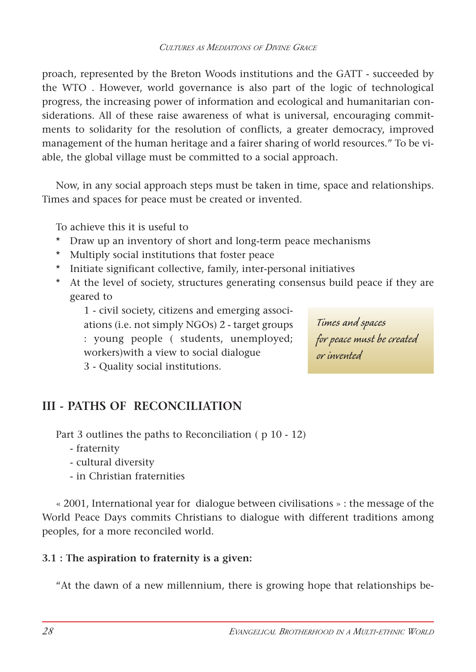proach, represented by the Breton Woods institutions and the GATT - succeeded by the WTO . However, world governance is also part of the logic of technological progress, the increasing power of information and ecological and humanitarian considerations. All of these raise awareness of what is universal, encouraging commitments to solidarity for the resolution of conflicts, a greater democracy, improved management of the human heritage and a fairer sharing of world resources." To be viable, the global village must be committed to a social approach.

Now, in any social approach steps must be taken in time, space and relationships. Times and spaces for peace must be created or invented.

To achieve this it is useful to

- \* Draw up an inventory of short and long-term peace mechanisms
- \* Multiply social institutions that foster peace
- \* Initiate significant collective, family, inter-personal initiatives
- At the level of society, structures generating consensus build peace if they are geared to

1 - civil society, citizens and emerging associations (i.e. not simply NGOs) 2 - target groups : young people ( students, unemployed; workers)with a view to social dialogue 3 - Quality social institutions.

*Times and spaces for peace must be created or invented*

## **III - PATHS OF RECONCILIATION**

Part 3 outlines the paths to Reconciliation (  $p 10 - 12$ )

- fraternity
- cultural diversity
- in Christian fraternities

« 2001, International year for dialogue between civilisations » : the message of the World Peace Days commits Christians to dialogue with different traditions among peoples, for a more reconciled world.

### **3.1 : The aspiration to fraternity is a given:**

"At the dawn of a new millennium, there is growing hope that relationships be-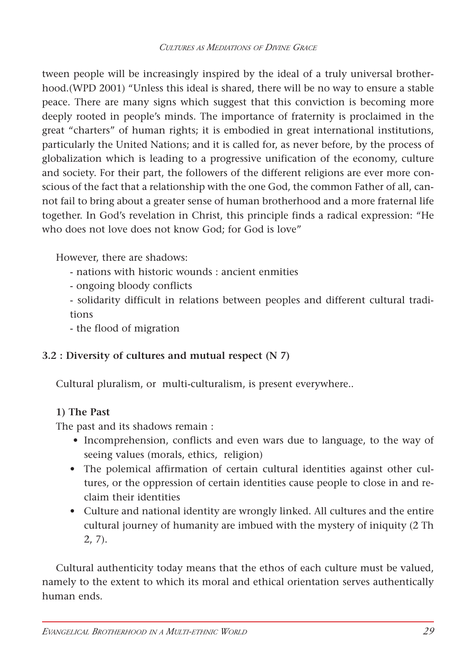tween people will be increasingly inspired by the ideal of a truly universal brotherhood.(WPD 2001) "Unless this ideal is shared, there will be no way to ensure a stable peace. There are many signs which suggest that this conviction is becoming more deeply rooted in people's minds. The importance of fraternity is proclaimed in the great "charters" of human rights; it is embodied in great international institutions, particularly the United Nations; and it is called for, as never before, by the process of globalization which is leading to a progressive unification of the economy, culture and society. For their part, the followers of the different religions are ever more conscious of the fact that a relationship with the one God, the common Father of all, cannot fail to bring about a greater sense of human brotherhood and a more fraternal life together. In God's revelation in Christ, this principle finds a radical expression: "He who does not love does not know God; for God is love"

However, there are shadows:

- nations with historic wounds : ancient enmities
- ongoing bloody conflicts
- solidarity difficult in relations between peoples and different cultural traditions
- the flood of migration

### **3.2 : Diversity of cultures and mutual respect (N 7)**

Cultural pluralism, or multi-culturalism, is present everywhere..

### **1) The Past**

The past and its shadows remain :

- Incomprehension, conflicts and even wars due to language, to the way of seeing values (morals, ethics, religion)
- The polemical affirmation of certain cultural identities against other cultures, or the oppression of certain identities cause people to close in and reclaim their identities
- Culture and national identity are wrongly linked. All cultures and the entire cultural journey of humanity are imbued with the mystery of iniquity (2 Th 2, 7).

Cultural authenticity today means that the ethos of each culture must be valued, namely to the extent to which its moral and ethical orientation serves authentically human ends.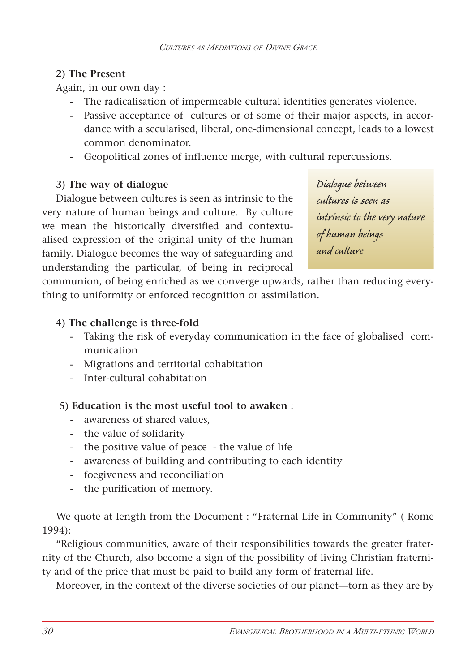### **2) The Present**

Again, in our own day :

- The radicalisation of impermeable cultural identities generates violence.
- Passive acceptance of cultures or of some of their major aspects, in accordance with a secularised, liberal, one-dimensional concept, leads to a lowest common denominator.
- Geopolitical zones of influence merge, with cultural repercussions.

### **3) The way of dialogue**

Dialogue between cultures is seen as intrinsic to the very nature of human beings and culture. By culture we mean the historically diversified and contextualised expression of the original unity of the human family. Dialogue becomes the way of safeguarding and understanding the particular, of being in reciprocal

*Dialogue between cultures is seen as intrinsic to the very nature of human beings and culture*

communion, of being enriched as we converge upwards, rather than reducing everything to uniformity or enforced recognition or assimilation.

### **4) The challenge is three-fold**

- Taking the risk of everyday communication in the face of globalised communication
- Migrations and territorial cohabitation
- Inter-cultural cohabitation

### **5) Education is the most useful tool to awaken** :

- awareness of shared values,
- the value of solidarity
- the positive value of peace the value of life
- awareness of building and contributing to each identity
- foegiveness and reconciliation
- the purification of memory.

We quote at length from the Document : "Fraternal Life in Community" ( Rome 1994):

"Religious communities, aware of their responsibilities towards the greater fraternity of the Church, also become a sign of the possibility of living Christian fraternity and of the price that must be paid to build any form of fraternal life.

Moreover, in the context of the diverse societies of our planet––torn as they are by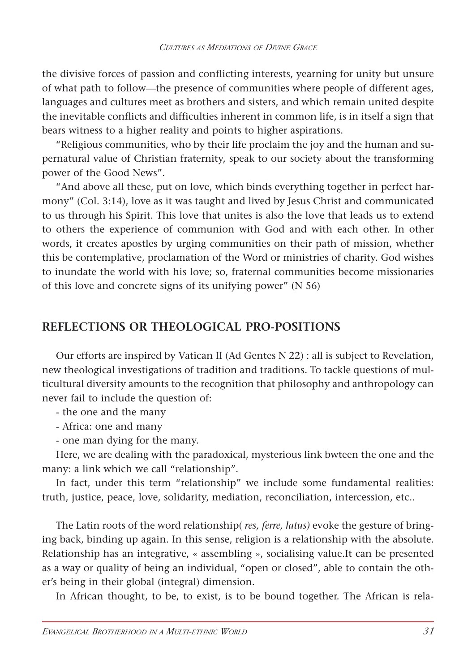the divisive forces of passion and conflicting interests, yearning for unity but unsure of what path to follow––the presence of communities where people of different ages, languages and cultures meet as brothers and sisters, and which remain united despite the inevitable conflicts and difficulties inherent in common life, is in itself a sign that bears witness to a higher reality and points to higher aspirations.

"Religious communities, who by their life proclaim the joy and the human and supernatural value of Christian fraternity, speak to our society about the transforming power of the Good News".

"And above all these, put on love, which binds everything together in perfect harmony" (Col. 3:14), love as it was taught and lived by Jesus Christ and communicated to us through his Spirit. This love that unites is also the love that leads us to extend to others the experience of communion with God and with each other. In other words, it creates apostles by urging communities on their path of mission, whether this be contemplative, proclamation of the Word or ministries of charity. God wishes to inundate the world with his love; so, fraternal communities become missionaries of this love and concrete signs of its unifying power" (N 56)

### **REFLECTIONS OR THEOLOGICAL PRO-POSITIONS**

Our efforts are inspired by Vatican II (Ad Gentes N 22) : all is subject to Revelation, new theological investigations of tradition and traditions. To tackle questions of multicultural diversity amounts to the recognition that philosophy and anthropology can never fail to include the question of:

- the one and the many
- Africa: one and many
- one man dying for the many.

Here, we are dealing with the paradoxical, mysterious link bwteen the one and the many: a link which we call "relationship".

In fact, under this term "relationship" we include some fundamental realities: truth, justice, peace, love, solidarity, mediation, reconciliation, intercession, etc..

The Latin roots of the word relationship( *res, ferre, latus)* evoke the gesture of bringing back, binding up again. In this sense, religion is a relationship with the absolute. Relationship has an integrative, « assembling », socialising value.It can be presented as a way or quality of being an individual, "open or closed", able to contain the other's being in their global (integral) dimension.

In African thought, to be, to exist, is to be bound together. The African is rela-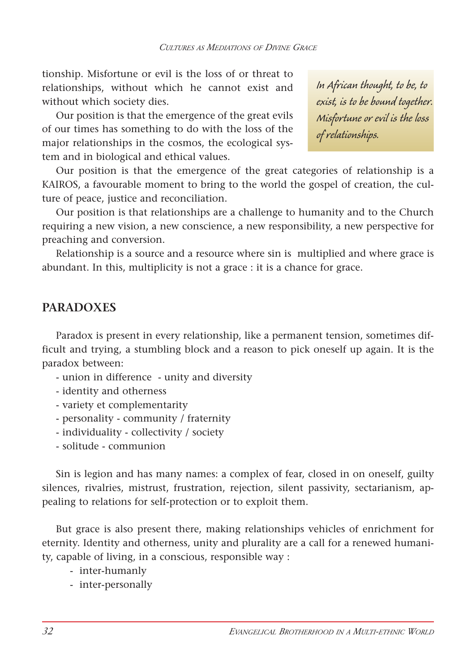tionship. Misfortune or evil is the loss of or threat to relationships, without which he cannot exist and without which society dies.

Our position is that the emergence of the great evils of our times has something to do with the loss of the major relationships in the cosmos, the ecological system and in biological and ethical values.

*In African thought, to be, to exist, is to be bound together. Misfortune or evil is the loss of relationships.*

Our position is that the emergence of the great categories of relationship is a KAIROS, a favourable moment to bring to the world the gospel of creation, the culture of peace, justice and reconciliation.

Our position is that relationships are a challenge to humanity and to the Church requiring a new vision, a new conscience, a new responsibility, a new perspective for preaching and conversion.

Relationship is a source and a resource where sin is multiplied and where grace is abundant. In this, multiplicity is not a grace : it is a chance for grace.

## **PARADOXES**

Paradox is present in every relationship, like a permanent tension, sometimes difficult and trying, a stumbling block and a reason to pick oneself up again. It is the paradox between:

- union in difference unity and diversity
- identity and otherness
- variety et complementarity
- personality community / fraternity
- individuality collectivity / society
- solitude communion

Sin is legion and has many names: a complex of fear, closed in on oneself, guilty silences, rivalries, mistrust, frustration, rejection, silent passivity, sectarianism, appealing to relations for self-protection or to exploit them.

But grace is also present there, making relationships vehicles of enrichment for eternity. Identity and otherness, unity and plurality are a call for a renewed humanity, capable of living, in a conscious, responsible way :

- inter-humanly
- inter-personally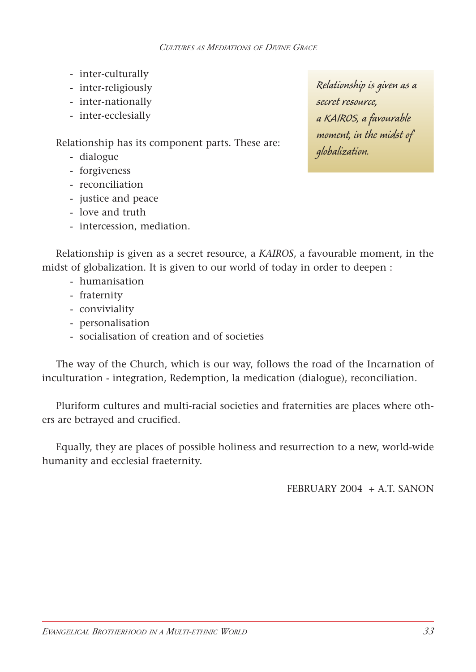- inter-culturally
- inter-religiously
- inter-nationally
- inter-ecclesially

Relationship has its component parts. These are:

- dialogue
- forgiveness
- reconciliation
- justice and peace
- love and truth
- intercession, mediation.

*Relationship is given as a secret resource, a KAIROS, a favourable moment, in the midst of globalization.*

Relationship is given as a secret resource, a *KAIROS*, a favourable moment, in the midst of globalization. It is given to our world of today in order to deepen :

- humanisation
- fraternity
- conviviality
- personalisation
- socialisation of creation and of societies

The way of the Church, which is our way, follows the road of the Incarnation of inculturation - integration, Redemption, la medication (dialogue), reconciliation.

Pluriform cultures and multi-racial societies and fraternities are places where others are betrayed and crucified.

Equally, they are places of possible holiness and resurrection to a new, world-wide humanity and ecclesial fraeternity.

FEBRUARY 2004 + A.T. SANON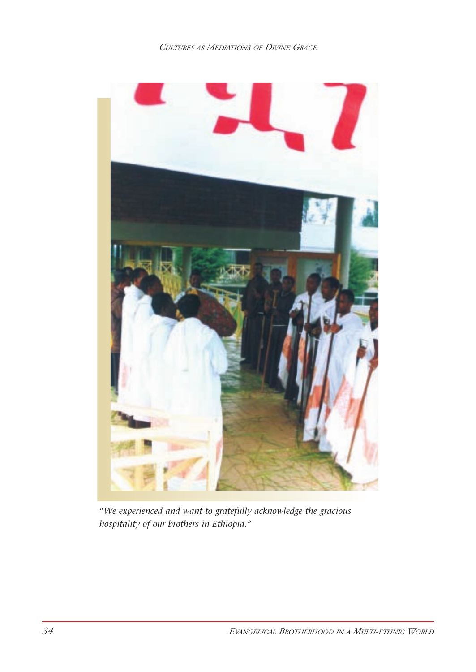*CULTURES AS MEDIATIONS OF DIVINE GRACE*



*"We experienced and want to gratefully acknowledge the gracious hospitality of our brothers in Ethiopia."*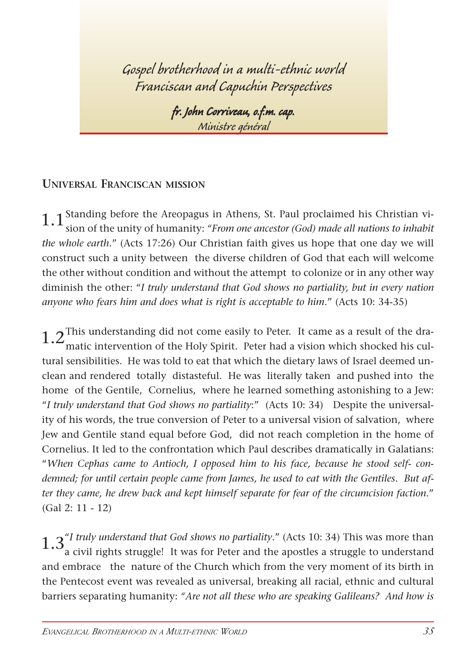*Gospel brotherhood in a multi-ethnic world Franciscan and Capuchin Perspectives*

*fr. John Corriveau, o.f.m. cap. Ministre général*

## **UNIVERSAL FRANCISCAN MISSION**

1.1Standing before the Areopagus in Athens, St. Paul proclaimed his Christian vi-sion of the unity of humanity: *"From one ancestor (God) made all nations to inhabit the whole earth.*" (Acts 17:26) Our Christian faith gives us hope that one day we will construct such a unity between the diverse children of God that each will welcome the other without condition and without the attempt to colonize or in any other way diminish the other: "*I truly understand that God shows no partiality, but in every nation anyone who fears him and does what is right is acceptable to him*." (Acts 10: 34-35)

1.2<sup>This</sup> understanding did not come easily to Peter. It came as a result of the dra-<br>matic intervention of the Holy Spirit. Peter had a vision which shocked his cultural sensibilities. He was told to eat that which the dietary laws of Israel deemed unclean and rendered totally distasteful. He was literally taken and pushed into the home of the Gentile, Cornelius, where he learned something astonishing to a Jew: "*I truly understand that God shows no partiality*:" (Acts 10: 34) Despite the universality of his words, the true conversion of Peter to a universal vision of salvation, where Jew and Gentile stand equal before God, did not reach completion in the home of Cornelius. It led to the confrontation which Paul describes dramatically in Galatians: "*When Cephas came to Antioch, I opposed him to his face, because he stood self- condemned; for until certain people came from James, he used to eat with the Gentiles. But after they came, he drew back and kept himself separate for fear of the circumcision faction*." (Gal 2: 11 - 12)

1.3"*I truly understand that God shows no partiality*." (Acts 10: 34) This was more than a civil rights struggle! It was for Peter and the apostles a struggle to understand and embrace the nature of the Church which from the very moment of its birth in the Pentecost event was revealed as universal, breaking all racial, ethnic and cultural barriers separating humanity: *"Are not all these who are speaking Galileans? And how is*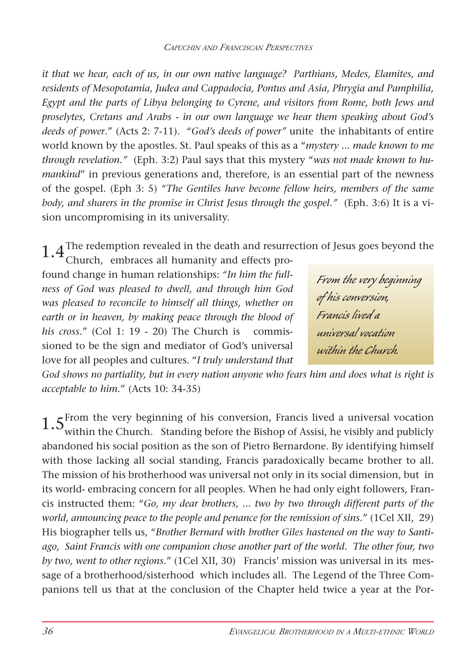*it that we hear, each of us, in our own native language? Parthians, Medes, Elamites, and residents of Mesopotamia, Judea and Cappadocia, Pontus and Asia, Phrygia and Pamphilia, Egypt and the parts of Libya belonging to Cyrene, and visitors from Rome, both Jews and proselytes, Cretans and Arabs - in our own language we hear them speaking about God's deeds of power*." (Acts 2: 7-11). "*God's deeds of power"* unite the inhabitants of entire world known by the apostles. St. Paul speaks of this as a "*mystery ... made known to me through revelation."* (Eph. 3:2) Paul says that this mystery "*was not made known to humankind"* in previous generations and, therefore, is an essential part of the newness of the gospel. (Eph 3: 5) *"The Gentiles have become fellow heirs, members of the same body, and sharers in the promise in Christ Jesus through the gospel."* (Eph. 3:6) It is a vision uncompromising in its universality.

1.4<sup>The redemption revealed in the death and resurrection of Jesus goes beyond the Church, embraces all humanity and effects pro-</sup>

found change in human relationships: *"In him the fullness of God was pleased to dwell, and through him God was pleased to reconcile to himself all things, whether on earth or in heaven, by making peace through the blood of his cross.*" (Col 1: 19 - 20) The Church is commissioned to be the sign and mediator of God's universal love for all peoples and cultures*.* "*I truly understand that*

*From the very beginning of his conversion, Francis lived a universal vocation within the Church.*

*God shows no partiality, but in every nation anyone who fears him and does what is right is acceptable to him*." (Acts 10: 34-35)

 $1.5<sup>From</sup>$  the very beginning of his conversion, Francis lived a universal vocation within the Church. Standing before the Bishop of Assisi, he visibly and publicly abandoned his social position as the son of Pietro Bernardone. By identifying himself with those lacking all social standing, Francis paradoxically became brother to all. The mission of his brotherhood was universal not only in its social dimension, but in its world- embracing concern for all peoples. When he had only eight followers, Francis instructed them: "*Go, my dear brothers, ... two by two through different parts of the world, announcing peace to the people and penance for the remission of sins*." (1Cel XII, 29) His biographer tells us, "*Brother Bernard with brother Giles hastened on the way to Santiago, Saint Francis with one companion chose another part of the world. The other four, two by two, went to other regions*." (1Cel XII, 30) Francis' mission was universal in its message of a brotherhood/sisterhood which includes all. The Legend of the Three Companions tell us that at the conclusion of the Chapter held twice a year at the Por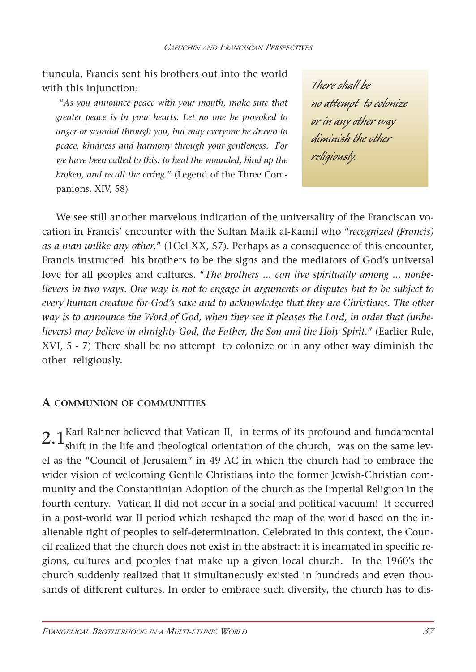tiuncula, Francis sent his brothers out into the world with this injunction:

"*As you announce peace with your mouth, make sure that greater peace is in your hearts. Let no one be provoked to anger or scandal through you, but may everyone be drawn to peace, kindness and harmony through your gentleness. For we have been called to this: to heal the wounded, bind up the broken, and recall the erring*." (Legend of the Three Companions, XIV, 58)

*There shall be no attempt to colonize or in any other way diminish the other religiously.*

We see still another marvelous indication of the universality of the Franciscan vocation in Francis' encounter with the Sultan Malik al-Kamil who "*recognized (Francis) as a man unlike any other*." (1Cel XX, 57). Perhaps as a consequence of this encounter, Francis instructed his brothers to be the signs and the mediators of God's universal love for all peoples and cultures. "*The brothers ... can live spiritually among ... nonbelievers in two ways. One way is not to engage in arguments or disputes but to be subject to every human creature for God's sake and to acknowledge that they are Christians. The other way is to announce the Word of God, when they see it pleases the Lord, in order that (unbelievers) may believe in almighty God, the Father, the Son and the Holy Spirit.*" (Earlier Rule, XVI, 5 - 7) There shall be no attempt to colonize or in any other way diminish the other religiously.

## **A COMMUNION OF COMMUNITIES**

2.1 Karl Rahner believed that Vatican II, in terms of its profound and fundamental shift in the life and theological orientation of the church, was on the same level as the "Council of Jerusalem" in 49 AC in which the church had to embrace the wider vision of welcoming Gentile Christians into the former Jewish-Christian community and the Constantinian Adoption of the church as the Imperial Religion in the fourth century. Vatican II did not occur in a social and political vacuum! It occurred in a post-world war II period which reshaped the map of the world based on the inalienable right of peoples to self-determination. Celebrated in this context, the Council realized that the church does not exist in the abstract: it is incarnated in specific regions, cultures and peoples that make up a given local church. In the 1960's the church suddenly realized that it simultaneously existed in hundreds and even thousands of different cultures. In order to embrace such diversity, the church has to dis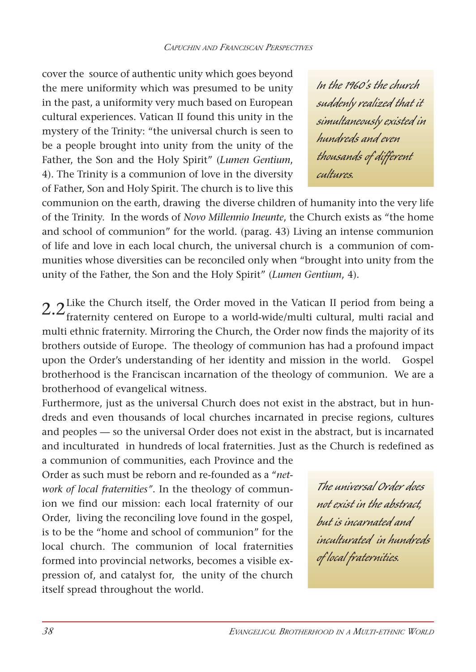cover the source of authentic unity which goes beyond the mere uniformity which was presumed to be unity in the past, a uniformity very much based on European cultural experiences. Vatican II found this unity in the mystery of the Trinity: "the universal church is seen to be a people brought into unity from the unity of the Father, the Son and the Holy Spirit" (*Lumen Gentium*, 4). The Trinity is a communion of love in the diversity of Father, Son and Holy Spirit. The church is to live this

*In the 1960's the church suddenly realized that it simultaneously existed in hundreds and even thousands of different cultures.*

communion on the earth, drawing the diverse children of humanity into the very life of the Trinity. In the words of *Novo Millennio Ineunte*, the Church exists as "the home and school of communion" for the world. (parag. 43) Living an intense communion of life and love in each local church, the universal church is a communion of communities whose diversities can be reconciled only when "brought into unity from the unity of the Father, the Son and the Holy Spirit" (*Lumen Gentium*, 4).

 $2.2$ Like the Church itself, the Order moved in the Vatican II period from being a fraternity centered on Europe to a world-wide/multi cultural, multi racial and multi ethnic fraternity. Mirroring the Church, the Order now finds the majority of its brothers outside of Europe. The theology of communion has had a profound impact upon the Order's understanding of her identity and mission in the world. Gospel brotherhood is the Franciscan incarnation of the theology of communion. We are a brotherhood of evangelical witness.

Furthermore, just as the universal Church does not exist in the abstract, but in hundreds and even thousands of local churches incarnated in precise regions, cultures and peoples — so the universal Order does not exist in the abstract, but is incarnated and inculturated in hundreds of local fraternities. Just as the Church is redefined as

a communion of communities, each Province and the Order as such must be reborn and re-founded as a "*network of local fraternities".* In the theology of communion we find our mission: each local fraternity of our Order, living the reconciling love found in the gospel, is to be the "home and school of communion" for the local church. The communion of local fraternities formed into provincial networks, becomes a visible expression of, and catalyst for, the unity of the church itself spread throughout the world.

*The universal Order does not exist in the abstract, but is incarnated and inculturated in hundreds of local fraternities.*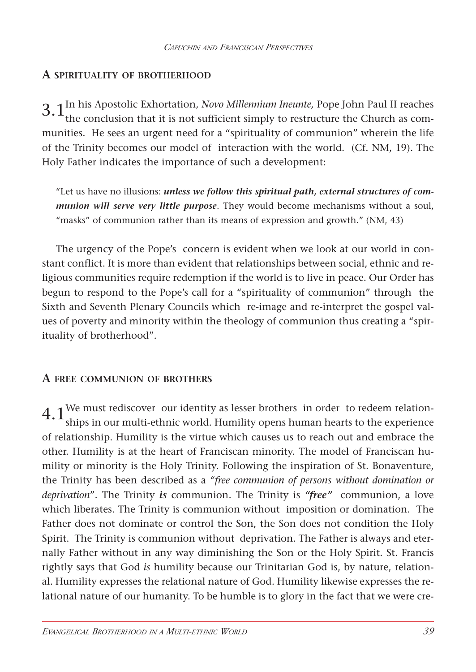### **A SPIRITUALITY OF BROTHERHOOD**

3.1In his Apostolic Exhortation, *Novo Millennium Ineunte,* Pope John Paul II reaches the conclusion that it is not sufficient simply to restructure the Church as communities. He sees an urgent need for a "spirituality of communion" wherein the life of the Trinity becomes our model of interaction with the world. (Cf. NM, 19). The Holy Father indicates the importance of such a development:

"Let us have no illusions: *unless we follow this spiritual path, external structures of communion will serve very little purpose*. They would become mechanisms without a soul, "masks" of communion rather than its means of expression and growth." (NM, 43)

The urgency of the Pope's concern is evident when we look at our world in constant conflict. It is more than evident that relationships between social, ethnic and religious communities require redemption if the world is to live in peace. Our Order has begun to respond to the Pope's call for a "spirituality of communion" through the Sixth and Seventh Plenary Councils which re-image and re-interpret the gospel values of poverty and minority within the theology of communion thus creating a "spirituality of brotherhood".

### **A FREE COMMUNION OF BROTHERS**

4.1<sup>We must rediscover our identity as lesser brothers in order to redeem relation-</sup> ships in our multi-ethnic world. Humility opens human hearts to the experience of relationship. Humility is the virtue which causes us to reach out and embrace the other. Humility is at the heart of Franciscan minority. The model of Franciscan humility or minority is the Holy Trinity. Following the inspiration of St. Bonaventure, the Trinity has been described as a *"free communion of persons without domination or deprivation*". The Trinity *is* communion. The Trinity is *"free"* communion, a love which liberates. The Trinity is communion without imposition or domination. The Father does not dominate or control the Son, the Son does not condition the Holy Spirit. The Trinity is communion without deprivation. The Father is always and eternally Father without in any way diminishing the Son or the Holy Spirit. St. Francis rightly says that God *is* humility because our Trinitarian God is, by nature, relational. Humility expresses the relational nature of God. Humility likewise expresses the relational nature of our humanity. To be humble is to glory in the fact that we were cre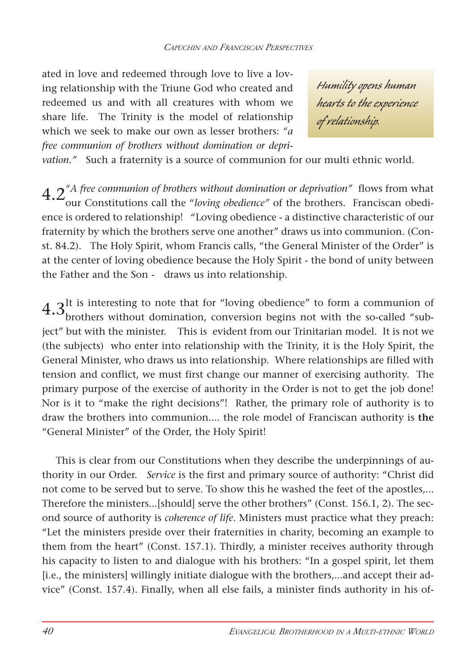ated in love and redeemed through love to live a loving relationship with the Triune God who created and redeemed us and with all creatures with whom we share life. The Trinity is the model of relationship which we seek to make our own as lesser brothers: *"a free communion of brothers without domination or depri-*

*Humility opens human hearts to the experience of relationship.*

*vation."* Such a fraternity is a source of communion for our multi ethnic world.

4.2<sup>"A</sup> free communion of brothers without domination or deprivation" flows from what  $4.2<sup>''</sup>$  our Constitutions call the "*loving obedience*" of the brothers. Franciscan obedience is ordered to relationship! "Loving obedience - a distinctive characteristic of our fraternity by which the brothers serve one another" draws us into communion. (Const. 84.2). The Holy Spirit, whom Francis calls, "the General Minister of the Order" is at the center of loving obedience because the Holy Spirit - the bond of unity between the Father and the Son - draws us into relationship.

 $4.3<sup>It</sup>$  is interesting to note that for "loving obedience" to form a communion of brothers without domination, conversion begins not with the so-called "subject" but with the minister. This is evident from our Trinitarian model. It is not we (the subjects) who enter into relationship with the Trinity, it is the Holy Spirit, the General Minister, who draws us into relationship. Where relationships are filled with tension and conflict, we must first change our manner of exercising authority. The primary purpose of the exercise of authority in the Order is not to get the job done! Nor is it to "make the right decisions"! Rather, the primary role of authority is to draw the brothers into communion.... the role model of Franciscan authority is **the** "General Minister" of the Order, the Holy Spirit!

This is clear from our Constitutions when they describe the underpinnings of authority in our Order. *Service* is the first and primary source of authority: "Christ did not come to be served but to serve. To show this he washed the feet of the apostles,... Therefore the ministers...[should] serve the other brothers" (Const. 156.1, 2). The second source of authority is *coherence of life*. Ministers must practice what they preach: "Let the ministers preside over their fraternities in charity, becoming an example to them from the heart" (Const. 157.1). Thirdly, a minister receives authority through his capacity to listen to and dialogue with his brothers: "In a gospel spirit, let them [i.e., the ministers] willingly initiate dialogue with the brothers,...and accept their advice" (Const. 157.4). Finally, when all else fails, a minister finds authority in his of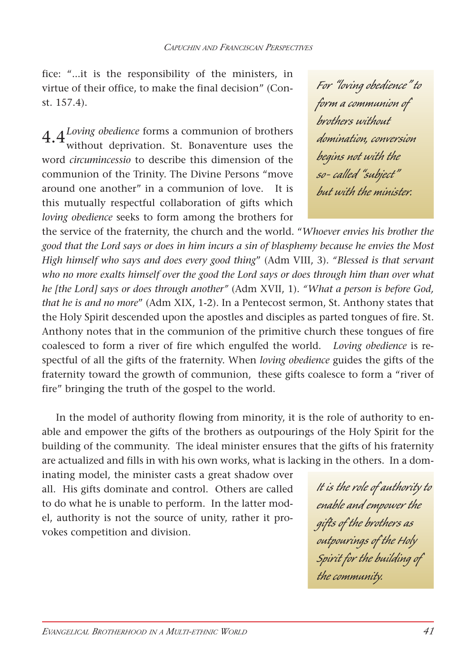fice: "...it is the responsibility of the ministers, in virtue of their office, to make the final decision" (Const. 157.4).

4.4*Loving obedience* forms a communion of brothers without deprivation. St. Bonaventure uses the word *circumincessio* to describe this dimension of the communion of the Trinity. The Divine Persons "move around one another" in a communion of love. It is this mutually respectful collaboration of gifts which *loving obedience* seeks to form among the brothers for

*For "loving obedience" to form a communion of brothers without domination, conversion begins not with the so- called "subject" but with the minister.*

the service of the fraternity, the church and the world. "*Whoever envies his brother the good that the Lord says or does in him incurs a sin of blasphemy because he envies the Most High himself who says and does every good thing*" (Adm VIII, 3). *"Blessed is that servant who no more exalts himself over the good the Lord says or does through him than over what he [the Lord] says or does through another"* (Adm XVII, 1). *"What a person is before God, that he is and no more*" (Adm XIX, 1-2). In a Pentecost sermon, St. Anthony states that the Holy Spirit descended upon the apostles and disciples as parted tongues of fire. St. Anthony notes that in the communion of the primitive church these tongues of fire coalesced to form a river of fire which engulfed the world. *Loving obedience* is respectful of all the gifts of the fraternity. When *loving obedience* guides the gifts of the fraternity toward the growth of communion, these gifts coalesce to form a "river of fire" bringing the truth of the gospel to the world.

In the model of authority flowing from minority, it is the role of authority to enable and empower the gifts of the brothers as outpourings of the Holy Spirit for the building of the community. The ideal minister ensures that the gifts of his fraternity are actualized and fills in with his own works, what is lacking in the others. In a dom-

inating model, the minister casts a great shadow over all. His gifts dominate and control. Others are called to do what he is unable to perform. In the latter model, authority is not the source of unity, rather it provokes competition and division.

*It is the role of authority to enable and empower the gifts of the brothers as outpourings of the Holy Spirit for the building of the community.*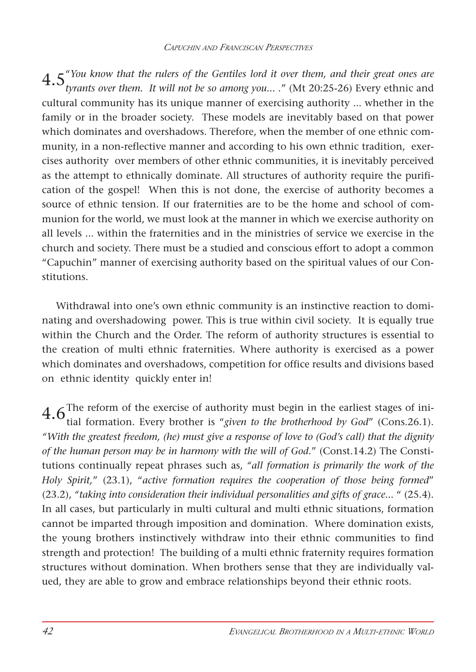4.5"*You know that the rulers of the Gentiles lord it over them, and their great ones are tyrants over them. It will not be so among you...* ." (Mt 20:25-26) Every ethnic and cultural community has its unique manner of exercising authority ... whether in the family or in the broader society. These models are inevitably based on that power which dominates and overshadows. Therefore, when the member of one ethnic community, in a non-reflective manner and according to his own ethnic tradition, exercises authority over members of other ethnic communities, it is inevitably perceived as the attempt to ethnically dominate. All structures of authority require the purification of the gospel! When this is not done, the exercise of authority becomes a source of ethnic tension. If our fraternities are to be the home and school of communion for the world, we must look at the manner in which we exercise authority on all levels ... within the fraternities and in the ministries of service we exercise in the church and society. There must be a studied and conscious effort to adopt a common "Capuchin" manner of exercising authority based on the spiritual values of our Constitutions.

Withdrawal into one's own ethnic community is an instinctive reaction to dominating and overshadowing power. This is true within civil society. It is equally true within the Church and the Order. The reform of authority structures is essential to the creation of multi ethnic fraternities. Where authority is exercised as a power which dominates and overshadows, competition for office results and divisions based on ethnic identity quickly enter in!

 $4.6$ <sup>The reform of the exercise of authority must begin in the earliest stages of ini-</sup> tial formation. Every brother is "*given to the brotherhood by God*" (Cons.26.1). *"With the greatest freedom, (he) must give a response of love to (God's call) that the dignity of the human person may be in harmony with the will of God*." (Const.14.2) The Constitutions continually repeat phrases such as, *"all formation is primarily the work of the Holy Spirit,*" (23.1), "*active formation requires the cooperation of those being formed*" (23.2), *"taking into consideration their individual personalities and gifts of grace..*. " (25.4). In all cases, but particularly in multi cultural and multi ethnic situations, formation cannot be imparted through imposition and domination. Where domination exists, the young brothers instinctively withdraw into their ethnic communities to find strength and protection! The building of a multi ethnic fraternity requires formation structures without domination. When brothers sense that they are individually valued, they are able to grow and embrace relationships beyond their ethnic roots.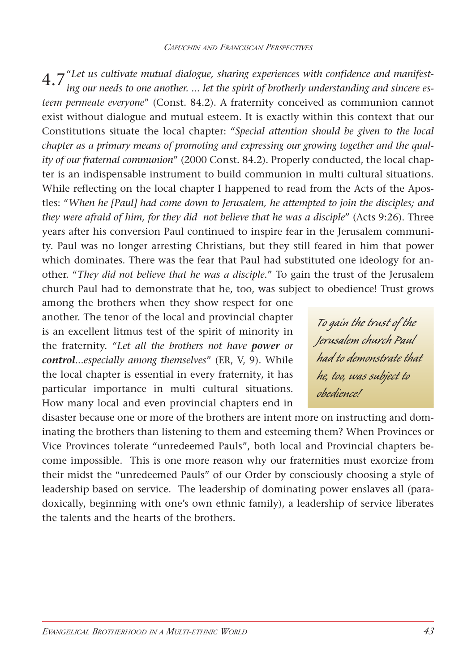4.7"*Let us cultivate mutual dialogue, sharing experiences with confidence and manifesting our needs to one another. ... let the spirit of brotherly understanding and sincere esteem permeate everyone*" (Const. 84.2). A fraternity conceived as communion cannot exist without dialogue and mutual esteem. It is exactly within this context that our Constitutions situate the local chapter: "*Special attention should be given to the local chapter as a primary means of promoting and expressing our growing together and the quality of our fraternal communion*" (2000 Const. 84.2). Properly conducted, the local chapter is an indispensable instrument to build communion in multi cultural situations. While reflecting on the local chapter I happened to read from the Acts of the Apostles: "*When he [Paul] had come down to Jerusalem, he attempted to join the disciples; and they were afraid of him, for they did not believe that he was a disciple*" (Acts 9:26). Three years after his conversion Paul continued to inspire fear in the Jerusalem community. Paul was no longer arresting Christians, but they still feared in him that power which dominates. There was the fear that Paul had substituted one ideology for another. "*They did not believe that he was a disciple*." To gain the trust of the Jerusalem church Paul had to demonstrate that he, too, was subject to obedience! Trust grows

among the brothers when they show respect for one another. The tenor of the local and provincial chapter is an excellent litmus test of the spirit of minority in the fraternity. *"Let all the brothers not have power or control...especially among themselves*" (ER, V, 9). While the local chapter is essential in every fraternity, it has particular importance in multi cultural situations. How many local and even provincial chapters end in

*To gain the trust of the Jerusalem church Paul had to demonstrate that he, too, was subject to obedience!*

disaster because one or more of the brothers are intent more on instructing and dominating the brothers than listening to them and esteeming them? When Provinces or Vice Provinces tolerate "unredeemed Pauls", both local and Provincial chapters become impossible. This is one more reason why our fraternities must exorcize from their midst the "unredeemed Pauls" of our Order by consciously choosing a style of leadership based on service. The leadership of dominating power enslaves all (paradoxically, beginning with one's own ethnic family), a leadership of service liberates the talents and the hearts of the brothers.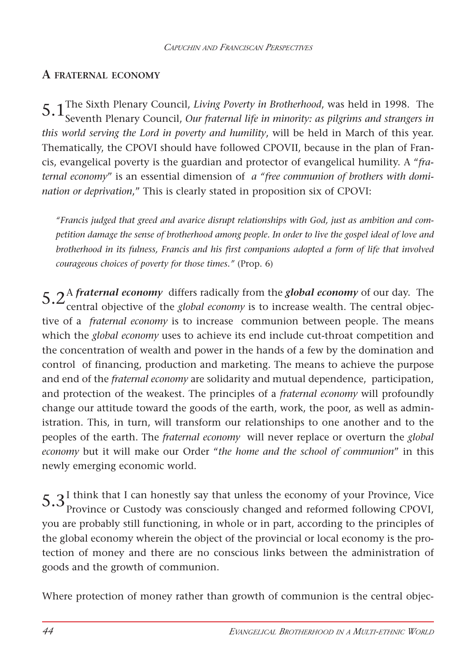## **A FRATERNAL ECONOMY**

5.1The Sixth Plenary Council, *Living Poverty in Brotherhood*, was held in 1998. The Seventh Plenary Council, *Our fraternal life in minority: as pilgrims and strangers in this world serving the Lord in poverty and humility*, will be held in March of this year. Thematically, the CPOVI should have followed CPOVII, because in the plan of Francis, evangelical poverty is the guardian and protector of evangelical humility. A "*fraternal economy*" is an essential dimension of *a "free communion of brothers with domination or deprivation*," This is clearly stated in proposition six of CPOVI:

*"Francis judged that greed and avarice disrupt relationships with God, just as ambition and competition damage the sense of brotherhood among people. In order to live the gospel ideal of love and brotherhood in its fulness, Francis and his first companions adopted a form of life that involved courageous choices of poverty for those times."* (Prop. 6)

5.2<sup>A</sup> *fraternal economy* differs radically from the *global economy* of our day. The central objective of the *global economy* is to increase wealth. The central objective of a *fraternal economy* is to increase communion between people. The means which the *global economy* uses to achieve its end include cut-throat competition and the concentration of wealth and power in the hands of a few by the domination and control of financing, production and marketing. The means to achieve the purpose and end of the *fraternal economy* are solidarity and mutual dependence, participation, and protection of the weakest. The principles of a *fraternal economy* will profoundly change our attitude toward the goods of the earth, work, the poor, as well as administration. This, in turn, will transform our relationships to one another and to the peoples of the earth. The *fraternal economy* will never replace or overturn the *global economy* but it will make our Order "*the home and the school of communion*" in this newly emerging economic world.

5.3<sup>I think that I can honestly say that unless the economy of your Province, Vice</sup> Province or Custody was consciously changed and reformed following CPOVI, you are probably still functioning, in whole or in part, according to the principles of the global economy wherein the object of the provincial or local economy is the protection of money and there are no conscious links between the administration of goods and the growth of communion.

Where protection of money rather than growth of communion is the central objec-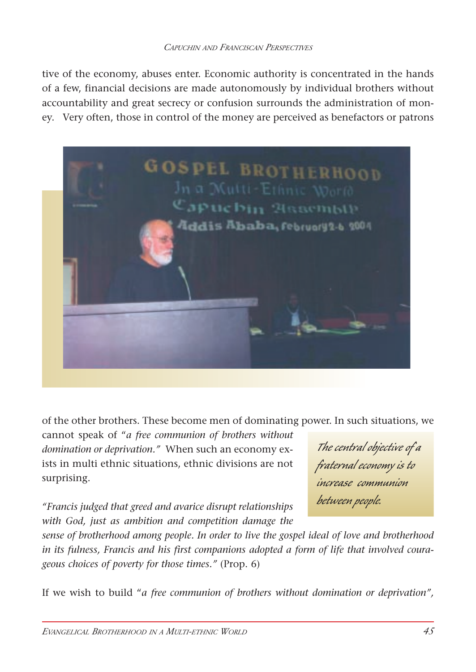tive of the economy, abuses enter. Economic authority is concentrated in the hands of a few, financial decisions are made autonomously by individual brothers without accountability and great secrecy or confusion surrounds the administration of money. Very often, those in control of the money are perceived as benefactors or patrons



of the other brothers. These become men of dominating power. In such situations, we

cannot speak of "*a free communion of brothers without domination or deprivation."* When such an economy exists in multi ethnic situations, ethnic divisions are not surprising.

*"Francis judged that greed and avarice disrupt relationships with God, just as ambition and competition damage the*

*sense of brotherhood among people. In order to live the gospel ideal of love and brotherhood in its fulness, Francis and his first companions adopted a form of life that involved courageous choices of poverty for those times."* (Prop. 6)

If we wish to build "*a free communion of brothers without domination or deprivation",*

*The central objective of a fraternal economy is to increase communion between people.*